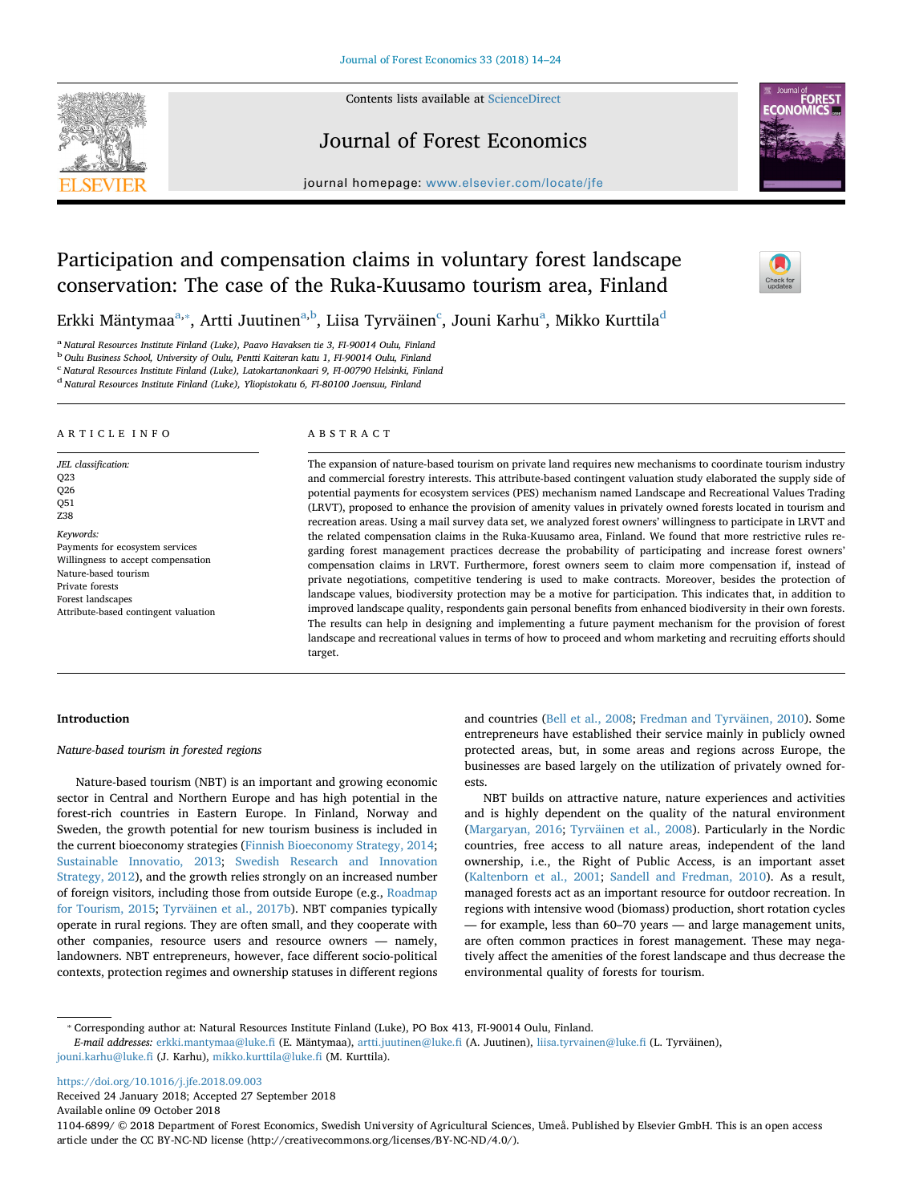Contents lists available at [ScienceDirect](http://www.sciencedirect.com/science/journal/11046899)



## Journal of Forest Economics

journal homepage: [www.elsevier.com/locate/jfe](https://www.elsevier.com/locate/jfe)



# Participation and compensation claims in voluntary forest landscape conservation: The case of the Ruka-Kuusamo tourism area, Finland



Erkki Mäntym[a](#page-0-0)a $^{\mathrm{a},\mathrm{s}}$ , Artti Juutinen $^{\mathrm{a},\mathrm{b}}$  $^{\mathrm{a},\mathrm{b}}$  $^{\mathrm{a},\mathrm{b}}$ , Liisa Tyrväinen $^{\mathrm{c}}$  $^{\mathrm{c}}$  $^{\mathrm{c}}$ , Jouni Karhu $^{\mathrm{a}}$ , Mikko Kurttila $^{\mathrm{d}}$  $^{\mathrm{d}}$  $^{\mathrm{d}}$ 

<span id="page-0-0"></span><sup>a</sup> *Natural Resources Institute Finland (Luke), Paavo Havaksen tie 3, FI-90014 Oulu, Finland*

<span id="page-0-2"></span><sup>b</sup> *Oulu Business School, University of Oulu, Pentti Kaiteran katu 1, FI-90014 Oulu, Finland*

<span id="page-0-3"></span>c *Natural Resources Institute Finland (Luke), Latokartanonkaari 9, FI-00790 Helsinki, Finland*

<span id="page-0-4"></span><sup>d</sup> *Natural Resources Institute Finland (Luke), Yliopistokatu 6, FI-80100 Joensuu, Finland*

## ARTICLE INFO

*JEL classification:* Q23 Q26 Q51 Z38 *Keywords:* Payments for ecosystem services

Willingness to accept compensation Nature-based tourism Private forests Forest landscapes Attribute-based contingent valuation

#### ABSTRACT

The expansion of nature-based tourism on private land requires new mechanisms to coordinate tourism industry and commercial forestry interests. This attribute-based contingent valuation study elaborated the supply side of potential payments for ecosystem services (PES) mechanism named Landscape and Recreational Values Trading (LRVT), proposed to enhance the provision of amenity values in privately owned forests located in tourism and recreation areas. Using a mail survey data set, we analyzed forest owners' willingness to participate in LRVT and the related compensation claims in the Ruka-Kuusamo area, Finland. We found that more restrictive rules regarding forest management practices decrease the probability of participating and increase forest owners' compensation claims in LRVT. Furthermore, forest owners seem to claim more compensation if, instead of private negotiations, competitive tendering is used to make contracts. Moreover, besides the protection of landscape values, biodiversity protection may be a motive for participation. This indicates that, in addition to improved landscape quality, respondents gain personal benefits from enhanced biodiversity in their own forests. The results can help in designing and implementing a future payment mechanism for the provision of forest landscape and recreational values in terms of how to proceed and whom marketing and recruiting efforts should target.

## **Introduction**

## *Nature-based tourism in forested regions*

Nature-based tourism (NBT) is an important and growing economic sector in Central and Northern Europe and has high potential in the forest-rich countries in Eastern Europe. In Finland, Norway and Sweden, the growth potential for new tourism business is included in the current bioeconomy strategies ([Finnish Bioeconomy Strategy, 2014](#page-9-0); [Sustainable Innovatio, 2013](#page-10-0); [Swedish Research and Innovation](#page-10-1) [Strategy, 2012\)](#page-10-1), and the growth relies strongly on an increased number of foreign visitors, including those from outside Europe (e.g., [Roadmap](#page-9-1) [for Tourism, 2015;](#page-9-1) [Tyrväinen et al., 2017b\)](#page-10-2). NBT companies typically operate in rural regions. They are often small, and they cooperate with other companies, resource users and resource owners — namely, landowners. NBT entrepreneurs, however, face different socio-political contexts, protection regimes and ownership statuses in different regions and countries [\(Bell et al., 2008](#page-9-2); [Fredman and Tyrväinen, 2010\)](#page-9-3). Some entrepreneurs have established their service mainly in publicly owned protected areas, but, in some areas and regions across Europe, the businesses are based largely on the utilization of privately owned forests.

NBT builds on attractive nature, nature experiences and activities and is highly dependent on the quality of the natural environment ([Margaryan, 2016](#page-9-4); [Tyrväinen et al., 2008\)](#page-10-3). Particularly in the Nordic countries, free access to all nature areas, independent of the land ownership, i.e., the Right of Public Access, is an important asset ([Kaltenborn et al., 2001](#page-9-5); [Sandell and Fredman, 2010](#page-9-6)). As a result, managed forests act as an important resource for outdoor recreation. In regions with intensive wood (biomass) production, short rotation cycles — for example, less than 60–70 years — and large management units, are often common practices in forest management. These may negatively affect the amenities of the forest landscape and thus decrease the environmental quality of forests for tourism.

*E-mail addresses:* [erkki.mantymaa@luke.fi](mailto:erkki.mantymaa@luke.fi) (E. Mäntymaa), [artti.juutinen@luke.fi](mailto:artti.juutinen@luke.fi) (A. Juutinen), [liisa.tyrvainen@luke.fi](mailto:liisa.tyrvainen@luke.fi) (L. Tyrväinen), [jouni.karhu@luke.fi](mailto:jouni.karhu@luke.fi) (J. Karhu), [mikko.kurttila@luke.fi](mailto:mikko.kurttila@luke.fi) (M. Kurttila).

<https://doi.org/10.1016/j.jfe.2018.09.003>

Received 24 January 2018; Accepted 27 September 2018

Available online 09 October 2018

<span id="page-0-1"></span><sup>⁎</sup> Corresponding author at: Natural Resources Institute Finland (Luke), PO Box 413, FI-90014 Oulu, Finland.

<sup>1104-6899/ © 2018</sup> Department of Forest Economics, Swedish University of Agricultural Sciences, Umeå. Published by Elsevier GmbH. This is an open access article under the CC BY-NC-ND license (http://creativecommons.org/lice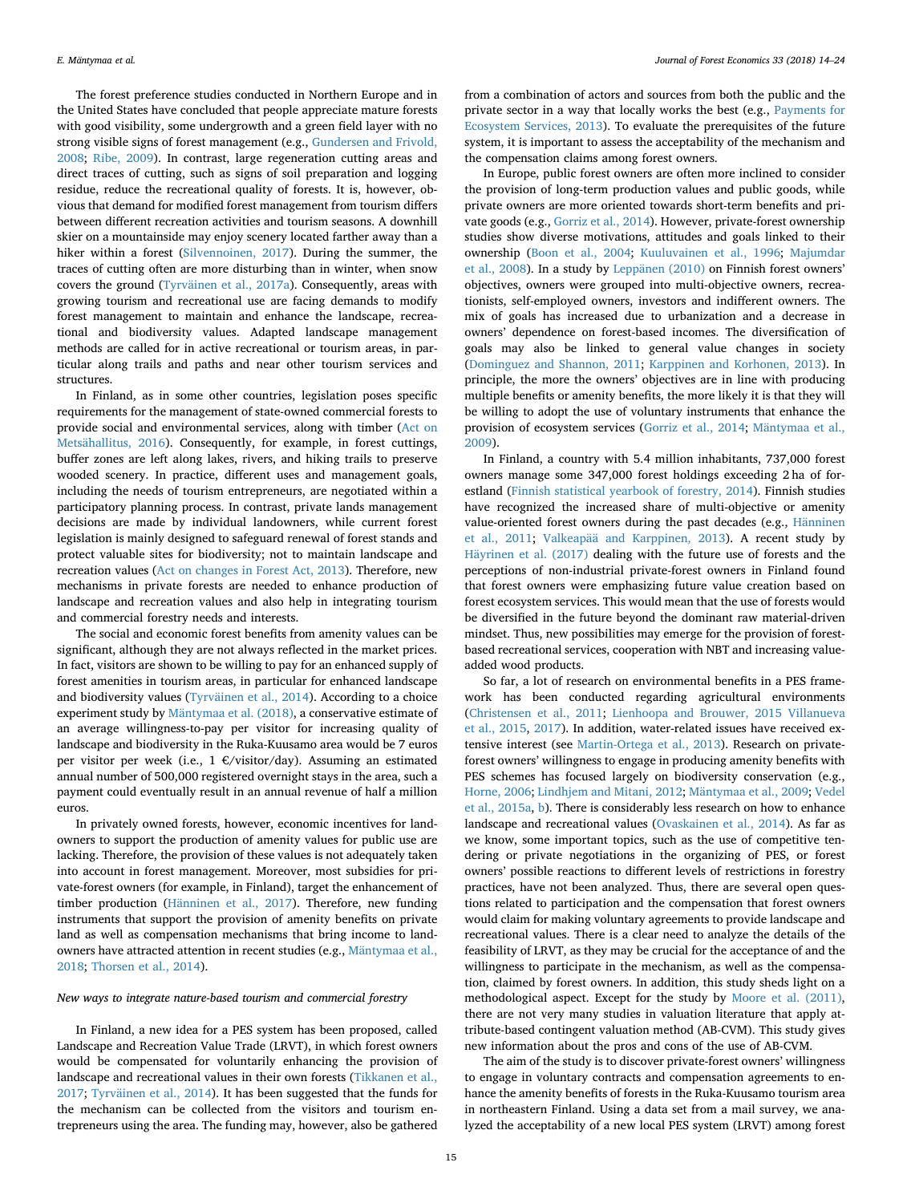The forest preference studies conducted in Northern Europe and in the United States have concluded that people appreciate mature forests with good visibility, some undergrowth and a green field layer with no strong visible signs of forest management (e.g., [Gundersen and Frivold,](#page-9-7) [2008;](#page-9-7) [Ribe, 2009](#page-9-8)). In contrast, large regeneration cutting areas and direct traces of cutting, such as signs of soil preparation and logging residue, reduce the recreational quality of forests. It is, however, obvious that demand for modified forest management from tourism differs between different recreation activities and tourism seasons. A downhill skier on a mountainside may enjoy scenery located farther away than a hiker within a forest [\(Silvennoinen, 2017\)](#page-10-4). During the summer, the traces of cutting often are more disturbing than in winter, when snow covers the ground ([Tyrväinen et al., 2017a](#page-10-5)). Consequently, areas with growing tourism and recreational use are facing demands to modify forest management to maintain and enhance the landscape, recreational and biodiversity values. Adapted landscape management methods are called for in active recreational or tourism areas, in particular along trails and paths and near other tourism services and structures.

In Finland, as in some other countries, legislation poses specific requirements for the management of state-owned commercial forests to provide social and environmental services, along with timber ([Act on](#page-9-9) [Metsähallitus, 2016](#page-9-9)). Consequently, for example, in forest cuttings, buffer zones are left along lakes, rivers, and hiking trails to preserve wooded scenery. In practice, different uses and management goals, including the needs of tourism entrepreneurs, are negotiated within a participatory planning process. In contrast, private lands management decisions are made by individual landowners, while current forest legislation is mainly designed to safeguard renewal of forest stands and protect valuable sites for biodiversity; not to maintain landscape and recreation values ([Act on changes in Forest Act, 2013](#page-9-10)). Therefore, new mechanisms in private forests are needed to enhance production of landscape and recreation values and also help in integrating tourism and commercial forestry needs and interests.

The social and economic forest benefits from amenity values can be significant, although they are not always reflected in the market prices. In fact, visitors are shown to be willing to pay for an enhanced supply of forest amenities in tourism areas, in particular for enhanced landscape and biodiversity values [\(Tyrväinen et al., 2014\)](#page-10-6). According to a choice experiment study by [Mäntymaa et al. \(2018\),](#page-9-11) a conservative estimate of an average willingness-to-pay per visitor for increasing quality of landscape and biodiversity in the Ruka-Kuusamo area would be 7 euros per visitor per week (i.e., 1 €/visitor/day). Assuming an estimated annual number of 500,000 registered overnight stays in the area, such a payment could eventually result in an annual revenue of half a million euros

In privately owned forests, however, economic incentives for landowners to support the production of amenity values for public use are lacking. Therefore, the provision of these values is not adequately taken into account in forest management. Moreover, most subsidies for private-forest owners (for example, in Finland), target the enhancement of timber production ([Hänninen et al., 2017\)](#page-9-12). Therefore, new funding instruments that support the provision of amenity benefits on private land as well as compensation mechanisms that bring income to landowners have attracted attention in recent studies (e.g., [Mäntymaa et al.,](#page-9-11) [2018;](#page-9-11) [Thorsen et al., 2014](#page-10-7)).

## *New ways to integrate nature-based tourism and commercial forestry*

In Finland, a new idea for a PES system has been proposed, called Landscape and Recreation Value Trade (LRVT), in which forest owners would be compensated for voluntarily enhancing the provision of landscape and recreational values in their own forests ([Tikkanen et al.,](#page-10-8) [2017;](#page-10-8) [Tyrväinen et al., 2014\)](#page-10-6). It has been suggested that the funds for the mechanism can be collected from the visitors and tourism entrepreneurs using the area. The funding may, however, also be gathered

from a combination of actors and sources from both the public and the private sector in a way that locally works the best (e.g., [Payments for](#page-9-13) [Ecosystem Services, 2013\)](#page-9-13). To evaluate the prerequisites of the future system, it is important to assess the acceptability of the mechanism and the compensation claims among forest owners.

In Europe, public forest owners are often more inclined to consider the provision of long-term production values and public goods, while private owners are more oriented towards short-term benefits and private goods (e.g., [Gorriz et al., 2014\)](#page-9-14). However, private-forest ownership studies show diverse motivations, attitudes and goals linked to their ownership [\(Boon et al., 2004](#page-9-15); [Kuuluvainen et al., 1996;](#page-9-16) [Majumdar](#page-9-17) [et al., 2008](#page-9-17)). In a study by [Leppänen \(2010\)](#page-9-18) on Finnish forest owners' objectives, owners were grouped into multi-objective owners, recreationists, self-employed owners, investors and indifferent owners. The mix of goals has increased due to urbanization and a decrease in owners' dependence on forest-based incomes. The diversification of goals may also be linked to general value changes in society ([Dominguez and Shannon, 2011;](#page-9-19) [Karppinen and Korhonen, 2013](#page-9-20)). In principle, the more the owners' objectives are in line with producing multiple benefits or amenity benefits, the more likely it is that they will be willing to adopt the use of voluntary instruments that enhance the provision of ecosystem services ([Gorriz et al., 2014;](#page-9-14) [Mäntymaa et al.,](#page-9-21) [2009\)](#page-9-21).

In Finland, a country with 5.4 million inhabitants, 737,000 forest owners manage some 347,000 forest holdings exceeding 2 ha of forestland [\(Finnish statistical yearbook of forestry, 2014\)](#page-9-22). Finnish studies have recognized the increased share of multi-objective or amenity value-oriented forest owners during the past decades (e.g., [Hänninen](#page-9-23) [et al., 2011](#page-9-23); [Valkeapää and Karppinen, 2013\)](#page-10-9). A recent study by [Häyrinen et al. \(2017\)](#page-9-24) dealing with the future use of forests and the perceptions of non-industrial private-forest owners in Finland found that forest owners were emphasizing future value creation based on forest ecosystem services. This would mean that the use of forests would be diversified in the future beyond the dominant raw material-driven mindset. Thus, new possibilities may emerge for the provision of forestbased recreational services, cooperation with NBT and increasing valueadded wood products.

So far, a lot of research on environmental benefits in a PES framework has been conducted regarding agricultural environments ([Christensen et al., 2011;](#page-9-25) [Lienhoopa and Brouwer, 2015](#page-9-26) [Villanueva](#page-10-10) [et al., 2015](#page-10-10), [2017](#page-10-11)). In addition, water-related issues have received extensive interest (see [Martin-Ortega et al., 2013\)](#page-9-27). Research on privateforest owners' willingness to engage in producing amenity benefits with PES schemes has focused largely on biodiversity conservation (e.g., [Horne, 2006;](#page-9-28) [Lindhjem and Mitani, 2012](#page-9-29); [Mäntymaa et al., 2009](#page-9-21); [Vedel](#page-10-12) [et al., 2015a,](#page-10-12) [b](#page-10-13)). There is considerably less research on how to enhance landscape and recreational values [\(Ovaskainen et al., 2014](#page-9-30)). As far as we know, some important topics, such as the use of competitive tendering or private negotiations in the organizing of PES, or forest owners' possible reactions to different levels of restrictions in forestry practices, have not been analyzed. Thus, there are several open questions related to participation and the compensation that forest owners would claim for making voluntary agreements to provide landscape and recreational values. There is a clear need to analyze the details of the feasibility of LRVT, as they may be crucial for the acceptance of and the willingness to participate in the mechanism, as well as the compensation, claimed by forest owners. In addition, this study sheds light on a methodological aspect. Except for the study by [Moore et al. \(2011\)](#page-9-31), there are not very many studies in valuation literature that apply attribute-based contingent valuation method (AB-CVM). This study gives new information about the pros and cons of the use of AB-CVM.

The aim of the study is to discover private-forest owners' willingness to engage in voluntary contracts and compensation agreements to enhance the amenity benefits of forests in the Ruka-Kuusamo tourism area in northeastern Finland. Using a data set from a mail survey, we analyzed the acceptability of a new local PES system (LRVT) among forest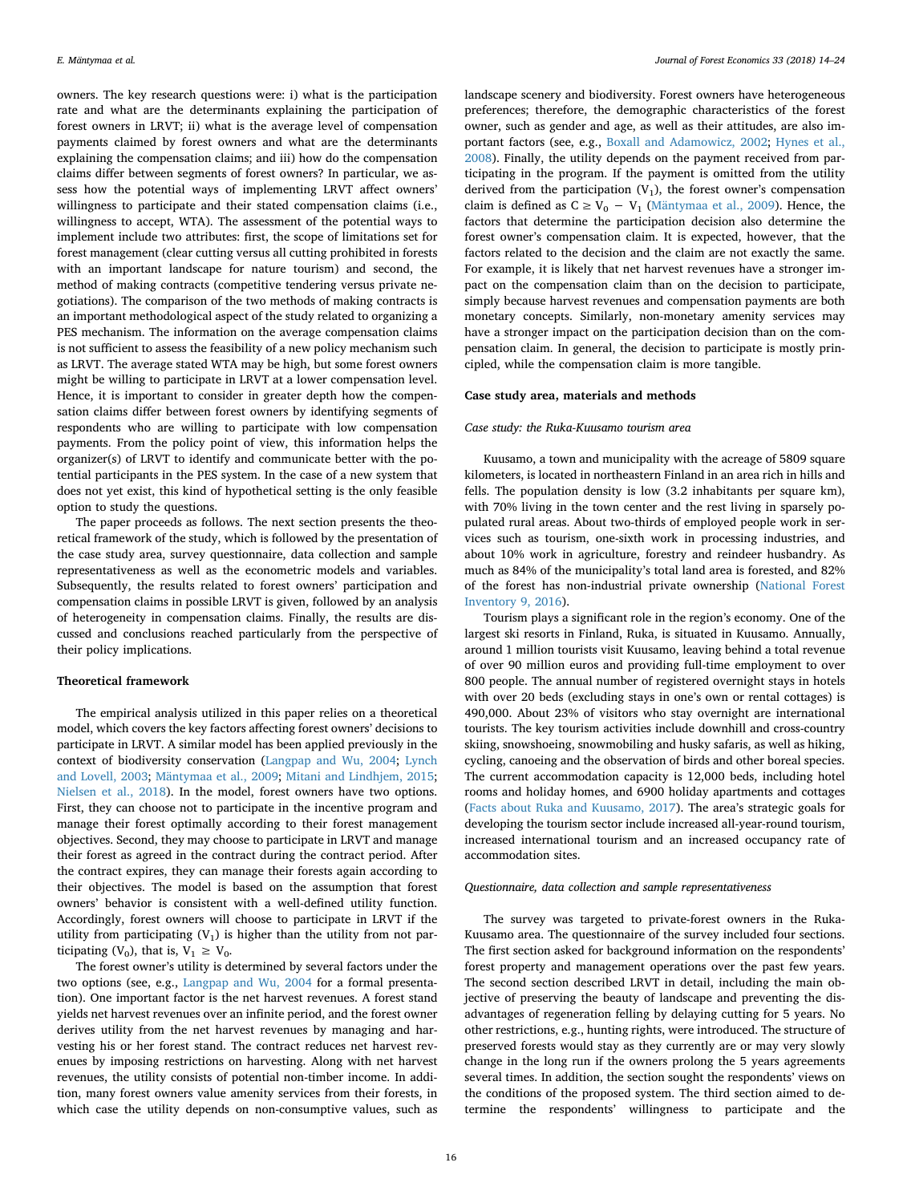owners. The key research questions were: i) what is the participation rate and what are the determinants explaining the participation of forest owners in LRVT; ii) what is the average level of compensation payments claimed by forest owners and what are the determinants explaining the compensation claims; and iii) how do the compensation claims differ between segments of forest owners? In particular, we assess how the potential ways of implementing LRVT affect owners' willingness to participate and their stated compensation claims (i.e., willingness to accept, WTA). The assessment of the potential ways to implement include two attributes: first, the scope of limitations set for forest management (clear cutting versus all cutting prohibited in forests with an important landscape for nature tourism) and second, the method of making contracts (competitive tendering versus private negotiations). The comparison of the two methods of making contracts is an important methodological aspect of the study related to organizing a PES mechanism. The information on the average compensation claims is not sufficient to assess the feasibility of a new policy mechanism such as LRVT. The average stated WTA may be high, but some forest owners might be willing to participate in LRVT at a lower compensation level. Hence, it is important to consider in greater depth how the compensation claims differ between forest owners by identifying segments of respondents who are willing to participate with low compensation payments. From the policy point of view, this information helps the organizer(s) of LRVT to identify and communicate better with the potential participants in the PES system. In the case of a new system that does not yet exist, this kind of hypothetical setting is the only feasible option to study the questions.

The paper proceeds as follows. The next section presents the theoretical framework of the study, which is followed by the presentation of the case study area, survey questionnaire, data collection and sample representativeness as well as the econometric models and variables. Subsequently, the results related to forest owners' participation and compensation claims in possible LRVT is given, followed by an analysis of heterogeneity in compensation claims. Finally, the results are discussed and conclusions reached particularly from the perspective of their policy implications.

## **Theoretical framework**

The empirical analysis utilized in this paper relies on a theoretical model, which covers the key factors affecting forest owners' decisions to participate in LRVT. A similar model has been applied previously in the context of biodiversity conservation [\(Langpap and Wu, 2004](#page-9-32); [Lynch](#page-9-33) [and Lovell, 2003;](#page-9-33) [Mäntymaa et al., 2009;](#page-9-21) [Mitani and Lindhjem, 2015](#page-9-34); [Nielsen et al., 2018\)](#page-9-35). In the model, forest owners have two options. First, they can choose not to participate in the incentive program and manage their forest optimally according to their forest management objectives. Second, they may choose to participate in LRVT and manage their forest as agreed in the contract during the contract period. After the contract expires, they can manage their forests again according to their objectives. The model is based on the assumption that forest owners' behavior is consistent with a well-defined utility function. Accordingly, forest owners will choose to participate in LRVT if the utility from participating  $(V_1)$  is higher than the utility from not participating (V<sub>0</sub>), that is,  $V_1 \ge V_0$ .

The forest owner's utility is determined by several factors under the two options (see, e.g., [Langpap and Wu, 2004](#page-9-32) for a formal presentation). One important factor is the net harvest revenues. A forest stand yields net harvest revenues over an infinite period, and the forest owner derives utility from the net harvest revenues by managing and harvesting his or her forest stand. The contract reduces net harvest revenues by imposing restrictions on harvesting. Along with net harvest revenues, the utility consists of potential non-timber income. In addition, many forest owners value amenity services from their forests, in which case the utility depends on non-consumptive values, such as landscape scenery and biodiversity. Forest owners have heterogeneous preferences; therefore, the demographic characteristics of the forest owner, such as gender and age, as well as their attitudes, are also important factors (see, e.g., [Boxall and Adamowicz, 2002](#page-9-36); [Hynes et al.,](#page-9-37) [2008\)](#page-9-37). Finally, the utility depends on the payment received from participating in the program. If the payment is omitted from the utility derived from the participation  $(V_1)$ , the forest owner's compensation claim is defined as  $C \ge V_0 - V_1$  ([Mäntymaa et al., 2009](#page-9-21)). Hence, the factors that determine the participation decision also determine the forest owner's compensation claim. It is expected, however, that the factors related to the decision and the claim are not exactly the same. For example, it is likely that net harvest revenues have a stronger impact on the compensation claim than on the decision to participate, simply because harvest revenues and compensation payments are both monetary concepts. Similarly, non-monetary amenity services may have a stronger impact on the participation decision than on the compensation claim. In general, the decision to participate is mostly principled, while the compensation claim is more tangible.

#### **Case study area, materials and methods**

#### *Case study: the Ruka-Kuusamo tourism area*

Kuusamo, a town and municipality with the acreage of 5809 square kilometers, is located in northeastern Finland in an area rich in hills and fells. The population density is low (3.2 inhabitants per square km), with 70% living in the town center and the rest living in sparsely populated rural areas. About two-thirds of employed people work in services such as tourism, one-sixth work in processing industries, and about 10% work in agriculture, forestry and reindeer husbandry. As much as 84% of the municipality's total land area is forested, and 82% of the forest has non-industrial private ownership ([National Forest](#page-9-38) [Inventory 9, 2016\)](#page-9-38).

Tourism plays a significant role in the region's economy. One of the largest ski resorts in Finland, Ruka, is situated in Kuusamo. Annually, around 1 million tourists visit Kuusamo, leaving behind a total revenue of over 90 million euros and providing full-time employment to over 800 people. The annual number of registered overnight stays in hotels with over 20 beds (excluding stays in one's own or rental cottages) is 490,000. About 23% of visitors who stay overnight are international tourists. The key tourism activities include downhill and cross-country skiing, snowshoeing, snowmobiling and husky safaris, as well as hiking, cycling, canoeing and the observation of birds and other boreal species. The current accommodation capacity is 12,000 beds, including hotel rooms and holiday homes, and 6900 holiday apartments and cottages ([Facts about Ruka and Kuusamo, 2017](#page-9-39)). The area's strategic goals for developing the tourism sector include increased all-year-round tourism, increased international tourism and an increased occupancy rate of accommodation sites.

## *Questionnaire, data collection and sample representativeness*

The survey was targeted to private-forest owners in the Ruka-Kuusamo area. The questionnaire of the survey included four sections. The first section asked for background information on the respondents' forest property and management operations over the past few years. The second section described LRVT in detail, including the main objective of preserving the beauty of landscape and preventing the disadvantages of regeneration felling by delaying cutting for 5 years. No other restrictions, e.g., hunting rights, were introduced. The structure of preserved forests would stay as they currently are or may very slowly change in the long run if the owners prolong the 5 years agreements several times. In addition, the section sought the respondents' views on the conditions of the proposed system. The third section aimed to determine the respondents' willingness to participate and the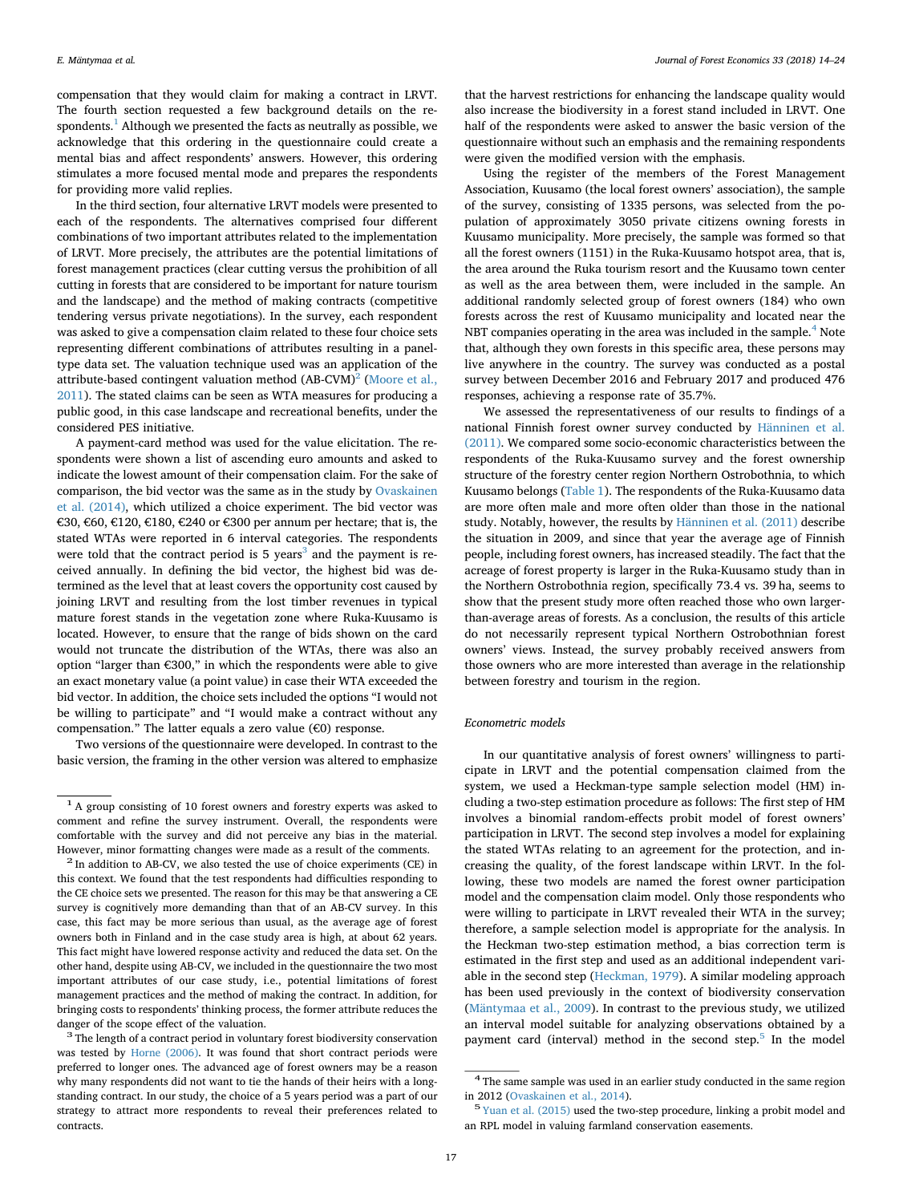compensation that they would claim for making a contract in LRVT. The fourth section requested a few background details on the re-spondents.<sup>[1](#page-3-0)</sup> Although we presented the facts as neutrally as possible, we acknowledge that this ordering in the questionnaire could create a mental bias and affect respondents' answers. However, this ordering stimulates a more focused mental mode and prepares the respondents for providing more valid replies.

In the third section, four alternative LRVT models were presented to each of the respondents. The alternatives comprised four different combinations of two important attributes related to the implementation of LRVT. More precisely, the attributes are the potential limitations of forest management practices (clear cutting versus the prohibition of all cutting in forests that are considered to be important for nature tourism and the landscape) and the method of making contracts (competitive tendering versus private negotiations). In the survey, each respondent was asked to give a compensation claim related to these four choice sets representing different combinations of attributes resulting in a paneltype data set. The valuation technique used was an application of the attribute-based contingent valuation method  $(AB-CVM)^2$  [\(Moore et al.,](#page-9-31) [2011\)](#page-9-31). The stated claims can be seen as WTA measures for producing a public good, in this case landscape and recreational benefits, under the considered PES initiative.

A payment-card method was used for the value elicitation. The respondents were shown a list of ascending euro amounts and asked to indicate the lowest amount of their compensation claim. For the sake of comparison, the bid vector was the same as in the study by [Ovaskainen](#page-9-30) [et al. \(2014\),](#page-9-30) which utilized a choice experiment. The bid vector was €30, €60, €120, €180, €240 or €300 per annum per hectare; that is, the stated WTAs were reported in 6 interval categories. The respondents were told that the contract period is  $5$  years<sup>[3](#page-3-2)</sup> and the payment is received annually. In defining the bid vector, the highest bid was determined as the level that at least covers the opportunity cost caused by joining LRVT and resulting from the lost timber revenues in typical mature forest stands in the vegetation zone where Ruka-Kuusamo is located. However, to ensure that the range of bids shown on the card would not truncate the distribution of the WTAs, there was also an option "larger than €300," in which the respondents were able to give an exact monetary value (a point value) in case their WTA exceeded the bid vector. In addition, the choice sets included the options "I would not be willing to participate" and "I would make a contract without any compensation." The latter equals a zero value  $(\epsilon 0)$  response.

Two versions of the questionnaire were developed. In contrast to the basic version, the framing in the other version was altered to emphasize

that the harvest restrictions for enhancing the landscape quality would also increase the biodiversity in a forest stand included in LRVT. One half of the respondents were asked to answer the basic version of the questionnaire without such an emphasis and the remaining respondents were given the modified version with the emphasis.

Using the register of the members of the Forest Management Association, Kuusamo (the local forest owners' association), the sample of the survey, consisting of 1335 persons, was selected from the population of approximately 3050 private citizens owning forests in Kuusamo municipality. More precisely, the sample was formed so that all the forest owners (1151) in the Ruka-Kuusamo hotspot area, that is, the area around the Ruka tourism resort and the Kuusamo town center as well as the area between them, were included in the sample. An additional randomly selected group of forest owners (184) who own forests across the rest of Kuusamo municipality and located near the NBT companies operating in the area was included in the sample.<sup>[4](#page-3-3)</sup> Note that, although they own forests in this specific area, these persons may live anywhere in the country. The survey was conducted as a postal survey between December 2016 and February 2017 and produced 476 responses, achieving a response rate of 35.7%.

We assessed the representativeness of our results to findings of a national Finnish forest owner survey conducted by [Hänninen et al.](#page-9-23) [\(2011\).](#page-9-23) We compared some socio-economic characteristics between the respondents of the Ruka-Kuusamo survey and the forest ownership structure of the forestry center region Northern Ostrobothnia, to which Kuusamo belongs ([Table 1\)](#page-4-0). The respondents of the Ruka-Kuusamo data are more often male and more often older than those in the national study. Notably, however, the results by [Hänninen et al. \(2011\)](#page-9-23) describe the situation in 2009, and since that year the average age of Finnish people, including forest owners, has increased steadily. The fact that the acreage of forest property is larger in the Ruka-Kuusamo study than in the Northern Ostrobothnia region, specifically 73.4 vs. 39 ha, seems to show that the present study more often reached those who own largerthan-average areas of forests. As a conclusion, the results of this article do not necessarily represent typical Northern Ostrobothnian forest owners' views. Instead, the survey probably received answers from those owners who are more interested than average in the relationship between forestry and tourism in the region.

## *Econometric models*

In our quantitative analysis of forest owners' willingness to participate in LRVT and the potential compensation claimed from the system, we used a Heckman-type sample selection model (HM) including a two-step estimation procedure as follows: The first step of HM involves a binomial random-effects probit model of forest owners' participation in LRVT. The second step involves a model for explaining the stated WTAs relating to an agreement for the protection, and increasing the quality, of the forest landscape within LRVT. In the following, these two models are named the forest owner participation model and the compensation claim model. Only those respondents who were willing to participate in LRVT revealed their WTA in the survey; therefore, a sample selection model is appropriate for the analysis. In the Heckman two-step estimation method, a bias correction term is estimated in the first step and used as an additional independent variable in the second step [\(Heckman, 1979\)](#page-9-40). A similar modeling approach has been used previously in the context of biodiversity conservation ([Mäntymaa et al., 2009](#page-9-21)). In contrast to the previous study, we utilized an interval model suitable for analyzing observations obtained by a payment card (interval) method in the second step.<sup>5</sup> In the model

<span id="page-3-0"></span> $<sup>1</sup>$  A group consisting of 10 forest owners and forestry experts was asked to</sup> comment and refine the survey instrument. Overall, the respondents were comfortable with the survey and did not perceive any bias in the material. However, minor formatting changes were made as a result of the comments.  $^2$  In addition to AB-CV, we also tested the use of choice experiments (CE) in

<span id="page-3-1"></span>this context. We found that the test respondents had difficulties responding to the CE choice sets we presented. The reason for this may be that answering a CE survey is cognitively more demanding than that of an AB-CV survey. In this case, this fact may be more serious than usual, as the average age of forest owners both in Finland and in the case study area is high, at about 62 years. This fact might have lowered response activity and reduced the data set. On the other hand, despite using AB-CV, we included in the questionnaire the two most important attributes of our case study, i.e., potential limitations of forest management practices and the method of making the contract. In addition, for bringing costs to respondents' thinking process, the former attribute reduces the danger of the scope effect of the valuation.

<span id="page-3-2"></span><sup>&</sup>lt;sup>3</sup> The length of a contract period in voluntary forest biodiversity conservation was tested by [Horne \(2006\).](#page-9-40) It was found that short contract periods were preferred to longer ones. The advanced age of forest owners may be a reason why many respondents did not want to tie the hands of their heirs with a longstanding contract. In our study, the choice of a 5 years period was a part of our strategy to attract more respondents to reveal their preferences related to contracts.

<span id="page-3-3"></span> $^{\rm 4}$  The same sample was used in an earlier study conducted in the same region

<span id="page-3-4"></span>in 2012 [\(Ovaskainen et al., 2014](#page-9-30)).<br><sup>5</sup> [Yuan et al. \(2015\)](#page-10-14) used the two-step procedure, linking a probit model and an RPL model in valuing farmland conservation easements.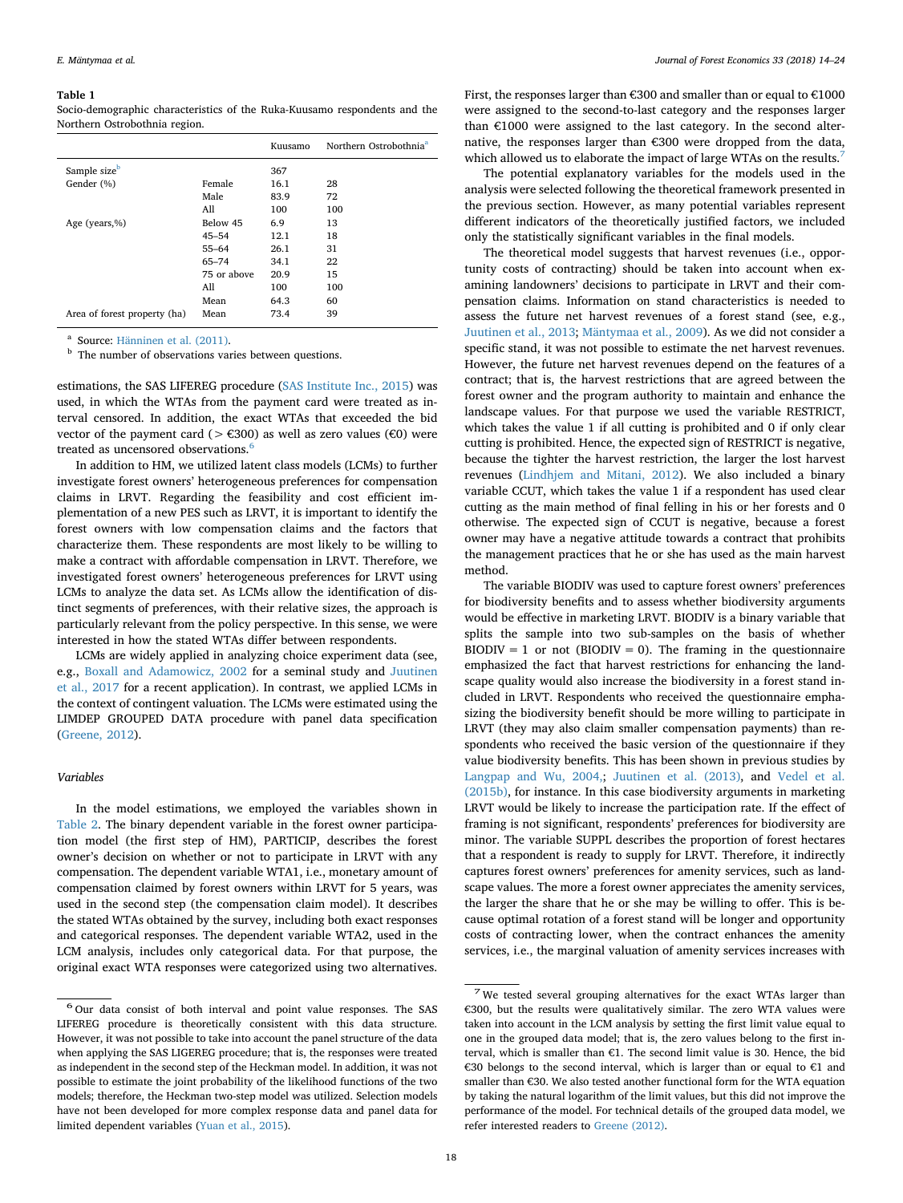#### <span id="page-4-0"></span>**Table 1**

Socio-demographic characteristics of the Ruka-Kuusamo respondents and the Northern Ostrobothnia region.

|                              |             | Kuusamo | Northern Ostrobothnia <sup>a</sup> |
|------------------------------|-------------|---------|------------------------------------|
| Sample size <sup>b</sup>     |             | 367     |                                    |
| Gender (%)                   | Female      | 16.1    | 28                                 |
|                              | Male        | 83.9    | 72                                 |
|                              | A11         | 100     | 100                                |
| Age (years,%)                | Below 45    | 6.9     | 13                                 |
|                              | $45 - 54$   | 12.1    | 18                                 |
|                              | $55 - 64$   | 26.1    | 31                                 |
|                              | 65-74       | 34.1    | 22                                 |
|                              | 75 or above | 20.9    | 15                                 |
|                              | All         | 100     | 100                                |
|                              | Mean        | 64.3    | 60                                 |
| Area of forest property (ha) | Mean        | 73.4    | 39                                 |

<span id="page-4-3"></span><sup>a</sup> Source: [Hänninen et al. \(2011\)](#page-9-23).

<span id="page-4-4"></span> $^{\rm b}\,$  The number of observations varies between questions.

estimations, the SAS LIFEREG procedure [\(SAS Institute Inc., 2015\)](#page-10-15) was used, in which the WTAs from the payment card were treated as interval censored. In addition, the exact WTAs that exceeded the bid vector of the payment card ( $> \epsilon$ 300) as well as zero values ( $\epsilon$ 0) were treated as uncensored observations.<sup>[6](#page-4-1)</sup>

In addition to HM, we utilized latent class models (LCMs) to further investigate forest owners' heterogeneous preferences for compensation claims in LRVT. Regarding the feasibility and cost efficient implementation of a new PES such as LRVT, it is important to identify the forest owners with low compensation claims and the factors that characterize them. These respondents are most likely to be willing to make a contract with affordable compensation in LRVT. Therefore, we investigated forest owners' heterogeneous preferences for LRVT using LCMs to analyze the data set. As LCMs allow the identification of distinct segments of preferences, with their relative sizes, the approach is particularly relevant from the policy perspective. In this sense, we were interested in how the stated WTAs differ between respondents.

LCMs are widely applied in analyzing choice experiment data (see, e.g., [Boxall and Adamowicz, 2002](#page-9-36) for a seminal study and [Juutinen](#page-9-41) [et al., 2017](#page-9-41) for a recent application). In contrast, we applied LCMs in the context of contingent valuation. The LCMs were estimated using the LIMDEP GROUPED DATA procedure with panel data specification ([Greene, 2012](#page-9-42)).

## *Variables*

In the model estimations, we employed the variables shown in [Table 2.](#page-5-0) The binary dependent variable in the forest owner participation model (the first step of HM), PARTICIP, describes the forest owner's decision on whether or not to participate in LRVT with any compensation. The dependent variable WTA1, i.e., monetary amount of compensation claimed by forest owners within LRVT for 5 years, was used in the second step (the compensation claim model). It describes the stated WTAs obtained by the survey, including both exact responses and categorical responses. The dependent variable WTA2, used in the LCM analysis, includes only categorical data. For that purpose, the original exact WTA responses were categorized using two alternatives.

First, the responses larger than €300 and smaller than or equal to €1000 were assigned to the second-to-last category and the responses larger than €1000 were assigned to the last category. In the second alternative, the responses larger than €300 were dropped from the data, which allowed us to elaborate the impact of large WTAs on the results.<sup>7</sup>

The potential explanatory variables for the models used in the analysis were selected following the theoretical framework presented in the previous section. However, as many potential variables represent different indicators of the theoretically justified factors, we included only the statistically significant variables in the final models.

The theoretical model suggests that harvest revenues (i.e., opportunity costs of contracting) should be taken into account when examining landowners' decisions to participate in LRVT and their compensation claims. Information on stand characteristics is needed to assess the future net harvest revenues of a forest stand (see, e.g., [Juutinen et al., 2013;](#page-9-43) [Mäntymaa et al., 2009\)](#page-9-21). As we did not consider a specific stand, it was not possible to estimate the net harvest revenues. However, the future net harvest revenues depend on the features of a contract; that is, the harvest restrictions that are agreed between the forest owner and the program authority to maintain and enhance the landscape values. For that purpose we used the variable RESTRICT, which takes the value 1 if all cutting is prohibited and 0 if only clear cutting is prohibited. Hence, the expected sign of RESTRICT is negative, because the tighter the harvest restriction, the larger the lost harvest revenues [\(Lindhjem and Mitani, 2012](#page-9-29)). We also included a binary variable CCUT, which takes the value 1 if a respondent has used clear cutting as the main method of final felling in his or her forests and 0 otherwise. The expected sign of CCUT is negative, because a forest owner may have a negative attitude towards a contract that prohibits the management practices that he or she has used as the main harvest method.

The variable BIODIV was used to capture forest owners' preferences for biodiversity benefits and to assess whether biodiversity arguments would be effective in marketing LRVT. BIODIV is a binary variable that splits the sample into two sub-samples on the basis of whether  $BIODIV = 1$  or not ( $BIODIV = 0$ ). The framing in the questionnaire emphasized the fact that harvest restrictions for enhancing the landscape quality would also increase the biodiversity in a forest stand included in LRVT. Respondents who received the questionnaire emphasizing the biodiversity benefit should be more willing to participate in LRVT (they may also claim smaller compensation payments) than respondents who received the basic version of the questionnaire if they value biodiversity benefits. This has been shown in previous studies by [Langpap and Wu, 2004,;](#page-9-32) [Juutinen et al. \(2013\),](#page-9-43) and [Vedel et al.](#page-10-13) [\(2015b\),](#page-10-13) for instance. In this case biodiversity arguments in marketing LRVT would be likely to increase the participation rate. If the effect of framing is not significant, respondents' preferences for biodiversity are minor. The variable SUPPL describes the proportion of forest hectares that a respondent is ready to supply for LRVT. Therefore, it indirectly captures forest owners' preferences for amenity services, such as landscape values. The more a forest owner appreciates the amenity services, the larger the share that he or she may be willing to offer. This is because optimal rotation of a forest stand will be longer and opportunity costs of contracting lower, when the contract enhances the amenity services, i.e., the marginal valuation of amenity services increases with

<span id="page-4-1"></span><sup>6</sup> Our data consist of both interval and point value responses. The SAS LIFEREG procedure is theoretically consistent with this data structure. However, it was not possible to take into account the panel structure of the data when applying the SAS LIGEREG procedure; that is, the responses were treated as independent in the second step of the Heckman model. In addition, it was not possible to estimate the joint probability of the likelihood functions of the two models; therefore, the Heckman two-step model was utilized. Selection models have not been developed for more complex response data and panel data for limited dependent variables ([Yuan et al., 2015](#page-10-16)).

<span id="page-4-2"></span><sup>7</sup> We tested several grouping alternatives for the exact WTAs larger than €300, but the results were qualitatively similar. The zero WTA values were taken into account in the LCM analysis by setting the first limit value equal to one in the grouped data model; that is, the zero values belong to the first interval, which is smaller than €1. The second limit value is 30. Hence, the bid €30 belongs to the second interval, which is larger than or equal to €1 and smaller than €30. We also tested another functional form for the WTA equation by taking the natural logarithm of the limit values, but this did not improve the performance of the model. For technical details of the grouped data model, we refer interested readers to [Greene \(2012\)](#page-9-14).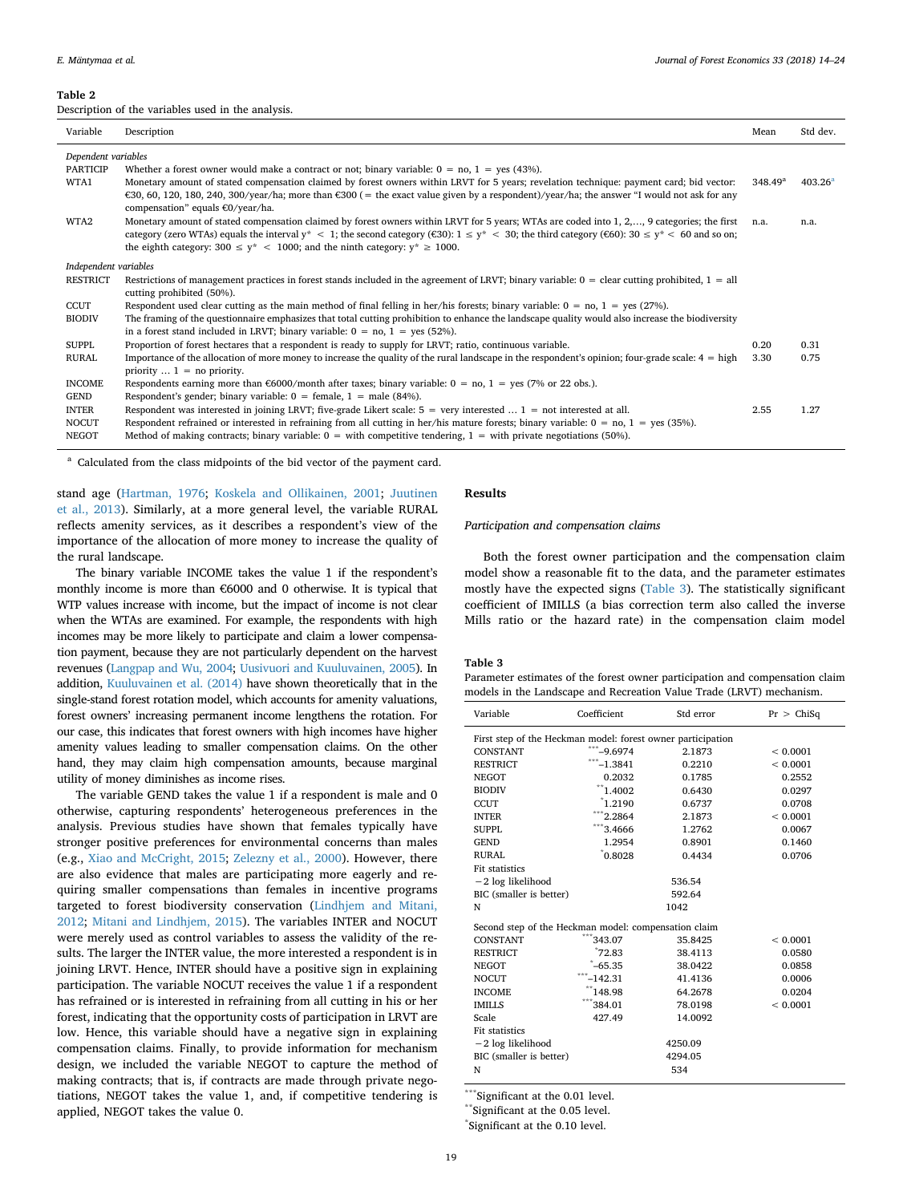#### <span id="page-5-0"></span>**Table 2**

Description of the variables used in the analysis.

| Variable              | Description                                                                                                                                                                              | Mean             | Std dev.            |  |
|-----------------------|------------------------------------------------------------------------------------------------------------------------------------------------------------------------------------------|------------------|---------------------|--|
| Dependent variables   |                                                                                                                                                                                          |                  |                     |  |
| <b>PARTICIP</b>       | Whether a forest owner would make a contract or not; binary variable: $0 =$ no, $1 =$ yes (43%).                                                                                         |                  |                     |  |
| WTA1                  | Monetary amount of stated compensation claimed by forest owners within LRVT for 5 years; revelation technique: payment card; bid vector:                                                 | $348.49^{\circ}$ | 403.26 <sup>a</sup> |  |
|                       | €30, 60, 120, 180, 240, 300/year/ha; more than €300 (= the exact value given by a respondent)/year/ha; the answer "I would not ask for any<br>compensation" equals $\epsilon$ 0/year/ha. |                  |                     |  |
| WTA2                  | Monetary amount of stated compensation claimed by forest owners within LRVT for 5 years; WTAs are coded into 1, 2,, 9 categories; the first                                              | n.a.             | n.a.                |  |
|                       | category (zero WTAs) equals the interval $y^* < 1$ ; the second category (€30): $1 \le y^* < 30$ ; the third category (€60): $30 \le y^* < 60$ and so on;                                |                  |                     |  |
|                       | the eighth category: 300 $\leq$ y <sup>*</sup> $\leq$ 1000; and the ninth category: y <sup>*</sup> $\geq$ 1000.                                                                          |                  |                     |  |
| Independent variables |                                                                                                                                                                                          |                  |                     |  |
| <b>RESTRICT</b>       | Restrictions of management practices in forest stands included in the agreement of LRVT; binary variable: $0 =$ clear cutting prohibited, $1 =$ all<br>cutting prohibited (50%).         |                  |                     |  |
| <b>CCUT</b>           | Respondent used clear cutting as the main method of final felling in her/his forests; binary variable: $0 =$ no, $1 =$ yes (27%).                                                        |                  |                     |  |
| <b>BIODIV</b>         | The framing of the questionnaire emphasizes that total cutting prohibition to enhance the landscape quality would also increase the biodiversity                                         |                  |                     |  |
|                       | in a forest stand included in LRVT; binary variable: $0 = \text{no}, 1 = \text{yes} (52\%)$ .                                                                                            |                  |                     |  |
| <b>SUPPL</b>          | Proportion of forest hectares that a respondent is ready to supply for LRVT; ratio, continuous variable.                                                                                 | 0.20             | 0.31                |  |
| RURAL                 | Importance of the allocation of more money to increase the quality of the rural landscape in the respondent's opinion; four-grade scale: $4 =$ high                                      | 3.30             | 0.75                |  |
|                       | priority $\ldots$ 1 = no priority.                                                                                                                                                       |                  |                     |  |
| <b>INCOME</b>         | Respondents earning more than $\epsilon$ 6000/month after taxes; binary variable: 0 = no, 1 = yes (7% or 22 obs.).                                                                       |                  |                     |  |
| GEND                  | Respondent's gender; binary variable: $0 = \text{female}, 1 = \text{male}$ (84%).                                                                                                        |                  |                     |  |
| <b>INTER</b>          | Respondent was interested in joining LRVT; five-grade Likert scale: $5 =$ very interested $1 =$ not interested at all.                                                                   | 2.55             | 1.27                |  |
| <b>NOCUT</b>          | Respondent refrained or interested in refraining from all cutting in her/his mature forests; binary variable: $0 =$ no, $1 =$ yes (35%).                                                 |                  |                     |  |
| NEGOT                 | Method of making contracts; binary variable: $0 =$ with competitive tendering, $1 =$ with private negotiations (50%).                                                                    |                  |                     |  |

<span id="page-5-2"></span>Calculated from the class midpoints of the bid vector of the payment card.

stand age ([Hartman, 1976](#page-9-44); [Koskela and Ollikainen, 2001](#page-9-45); [Juutinen](#page-9-43) [et al., 2013\)](#page-9-43). Similarly, at a more general level, the variable RURAL reflects amenity services, as it describes a respondent's view of the importance of the allocation of more money to increase the quality of the rural landscape.

The binary variable INCOME takes the value 1 if the respondent's monthly income is more than €6000 and 0 otherwise. It is typical that WTP values increase with income, but the impact of income is not clear when the WTAs are examined. For example, the respondents with high incomes may be more likely to participate and claim a lower compensation payment, because they are not particularly dependent on the harvest revenues [\(Langpap and Wu, 2004;](#page-9-32) [Uusivuori and Kuuluvainen, 2005](#page-10-17)). In addition, [Kuuluvainen et al. \(2014\)](#page-9-46) have shown theoretically that in the single-stand forest rotation model, which accounts for amenity valuations, forest owners' increasing permanent income lengthens the rotation. For our case, this indicates that forest owners with high incomes have higher amenity values leading to smaller compensation claims. On the other hand, they may claim high compensation amounts, because marginal utility of money diminishes as income rises.

The variable GEND takes the value 1 if a respondent is male and 0 otherwise, capturing respondents' heterogeneous preferences in the analysis. Previous studies have shown that females typically have stronger positive preferences for environmental concerns than males (e.g., [Xiao and McCright, 2015;](#page-10-14) [Zelezny et al., 2000](#page-10-18)). However, there are also evidence that males are participating more eagerly and requiring smaller compensations than females in incentive programs targeted to forest biodiversity conservation [\(Lindhjem and Mitani,](#page-9-29) [2012;](#page-9-29) [Mitani and Lindhjem, 2015\)](#page-9-34). The variables INTER and NOCUT were merely used as control variables to assess the validity of the results. The larger the INTER value, the more interested a respondent is in joining LRVT. Hence, INTER should have a positive sign in explaining participation. The variable NOCUT receives the value 1 if a respondent has refrained or is interested in refraining from all cutting in his or her forest, indicating that the opportunity costs of participation in LRVT are low. Hence, this variable should have a negative sign in explaining compensation claims. Finally, to provide information for mechanism design, we included the variable NEGOT to capture the method of making contracts; that is, if contracts are made through private negotiations, NEGOT takes the value 1, and, if competitive tendering is applied, NEGOT takes the value 0.

## **Results**

*Participation and compensation claims*

Both the forest owner participation and the compensation claim model show a reasonable fit to the data, and the parameter estimates mostly have the expected signs ([Table 3\)](#page-5-1). The statistically significant coefficient of IMILLS (a bias correction term also called the inverse Mills ratio or the hazard rate) in the compensation claim model

#### <span id="page-5-1"></span>**Table 3**

Parameter estimates of the forest owner participation and compensation claim models in the Landscape and Recreation Value Trade (LRVT) mechanism.

| Variable                                                    | Coefficient             | Std error | $Pr$ > ChiSq |  |  |  |
|-------------------------------------------------------------|-------------------------|-----------|--------------|--|--|--|
| First step of the Heckman model: forest owner participation |                         |           |              |  |  |  |
| <b>CONSTANT</b>                                             | $***-9.6974$            | 2.1873    | < 0.0001     |  |  |  |
| <b>RESTRICT</b>                                             | $-1.3841$               | 0.2210    | < 0.0001     |  |  |  |
| <b>NEGOT</b>                                                | 0.2032                  | 0.1785    | 0.2552       |  |  |  |
| <b>BIODIV</b>                                               | $^{\ast\ast}$ 1.4002    | 0.6430    | 0.0297       |  |  |  |
| <b>CCUT</b>                                                 | $\mathring{ }$ 1.2190   | 0.6737    | 0.0708       |  |  |  |
| <b>INTER</b>                                                | $*$ $*$ 2.2864          | 2.1873    | < 0.0001     |  |  |  |
| <b>SUPPL</b>                                                | 3.4666                  | 1.2762    | 0.0067       |  |  |  |
| <b>GEND</b>                                                 | 1.2954                  | 0.8901    | 0.1460       |  |  |  |
| <b>RURAL</b>                                                | $\degree$ 0.8028        | 0.4434    | 0.0706       |  |  |  |
| Fit statistics                                              |                         |           |              |  |  |  |
| -2 log likelihood                                           |                         | 536.54    |              |  |  |  |
| BIC (smaller is better)                                     |                         | 592.64    |              |  |  |  |
| N                                                           |                         | 1042      |              |  |  |  |
| Second step of the Heckman model: compensation claim        |                         |           |              |  |  |  |
| <b>CONSTANT</b>                                             | $***$ 343.07            | 35.8425   | < 0.0001     |  |  |  |
| <b>RESTRICT</b>                                             | 72.83                   | 38.4113   | 0.0580       |  |  |  |
| <b>NEGOT</b>                                                | $-65.35$                | 38.0422   | 0.0858       |  |  |  |
| <b>NOCUT</b>                                                | $-142.31$               | 41.4136   | 0.0006       |  |  |  |
| <b>INCOME</b>                                               | 148.98                  | 64.2678   | 0.0204       |  |  |  |
| <b>IMILLS</b>                                               | $^{\ast\ast\ast}384.01$ | 78.0198   | < 0.0001     |  |  |  |
| Scale                                                       | 427.49                  | 14.0092   |              |  |  |  |
| Fit statistics                                              |                         |           |              |  |  |  |
| -2 log likelihood                                           |                         | 4250.09   |              |  |  |  |
| BIC (smaller is better)                                     |                         | 4294.05   |              |  |  |  |
| N                                                           |                         | 534       |              |  |  |  |
|                                                             |                         |           |              |  |  |  |

\*\*\*Significant at the 0.01 level.

\*\*Significant at the 0.05 level.

\* Significant at the 0.10 level.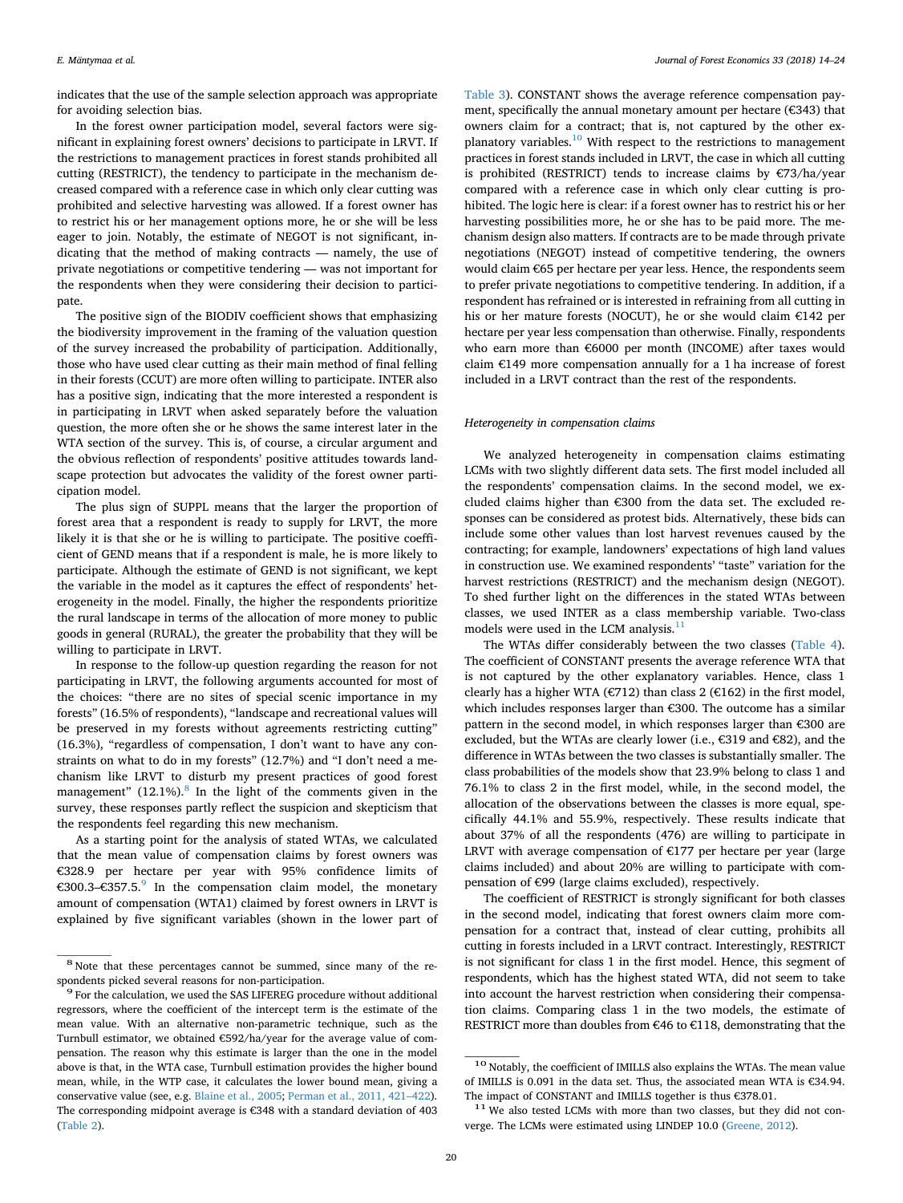indicates that the use of the sample selection approach was appropriate for avoiding selection bias.

In the forest owner participation model, several factors were significant in explaining forest owners' decisions to participate in LRVT. If the restrictions to management practices in forest stands prohibited all cutting (RESTRICT), the tendency to participate in the mechanism decreased compared with a reference case in which only clear cutting was prohibited and selective harvesting was allowed. If a forest owner has to restrict his or her management options more, he or she will be less eager to join. Notably, the estimate of NEGOT is not significant, indicating that the method of making contracts — namely, the use of private negotiations or competitive tendering — was not important for the respondents when they were considering their decision to participate.

The positive sign of the BIODIV coefficient shows that emphasizing the biodiversity improvement in the framing of the valuation question of the survey increased the probability of participation. Additionally, those who have used clear cutting as their main method of final felling in their forests (CCUT) are more often willing to participate. INTER also has a positive sign, indicating that the more interested a respondent is in participating in LRVT when asked separately before the valuation question, the more often she or he shows the same interest later in the WTA section of the survey. This is, of course, a circular argument and the obvious reflection of respondents' positive attitudes towards landscape protection but advocates the validity of the forest owner participation model.

The plus sign of SUPPL means that the larger the proportion of forest area that a respondent is ready to supply for LRVT, the more likely it is that she or he is willing to participate. The positive coefficient of GEND means that if a respondent is male, he is more likely to participate. Although the estimate of GEND is not significant, we kept the variable in the model as it captures the effect of respondents' heterogeneity in the model. Finally, the higher the respondents prioritize the rural landscape in terms of the allocation of more money to public goods in general (RURAL), the greater the probability that they will be willing to participate in LRVT.

In response to the follow-up question regarding the reason for not participating in LRVT, the following arguments accounted for most of the choices: "there are no sites of special scenic importance in my forests" (16.5% of respondents), "landscape and recreational values will be preserved in my forests without agreements restricting cutting" (16.3%), "regardless of compensation, I don't want to have any constraints on what to do in my forests" (12.7%) and "I don't need a mechanism like LRVT to disturb my present practices of good forest management"  $(12.1\%)$ .<sup>[8](#page-6-0)</sup> In the light of the comments given in the survey, these responses partly reflect the suspicion and skepticism that the respondents feel regarding this new mechanism.

As a starting point for the analysis of stated WTAs, we calculated that the mean value of compensation claims by forest owners was €328.9 per hectare per year with 95% confidence limits of €300.3– $€357.5.^9$  $€357.5.^9$  In the compensation claim model, the monetary amount of compensation (WTA1) claimed by forest owners in LRVT is explained by five significant variables (shown in the lower part of [Table 3\)](#page-5-1). CONSTANT shows the average reference compensation payment, specifically the annual monetary amount per hectare (€343) that owners claim for a contract; that is, not captured by the other ex-planatory variables.<sup>[10](#page-6-2)</sup> With respect to the restrictions to management practices in forest stands included in LRVT, the case in which all cutting is prohibited (RESTRICT) tends to increase claims by €73/ha/year compared with a reference case in which only clear cutting is prohibited. The logic here is clear: if a forest owner has to restrict his or her harvesting possibilities more, he or she has to be paid more. The mechanism design also matters. If contracts are to be made through private negotiations (NEGOT) instead of competitive tendering, the owners would claim €65 per hectare per year less. Hence, the respondents seem to prefer private negotiations to competitive tendering. In addition, if a respondent has refrained or is interested in refraining from all cutting in his or her mature forests (NOCUT), he or she would claim €142 per hectare per year less compensation than otherwise. Finally, respondents who earn more than €6000 per month (INCOME) after taxes would claim €149 more compensation annually for a 1 ha increase of forest included in a LRVT contract than the rest of the respondents.

#### *Heterogeneity in compensation claims*

We analyzed heterogeneity in compensation claims estimating LCMs with two slightly different data sets. The first model included all the respondents' compensation claims. In the second model, we excluded claims higher than €300 from the data set. The excluded responses can be considered as protest bids. Alternatively, these bids can include some other values than lost harvest revenues caused by the contracting; for example, landowners' expectations of high land values in construction use. We examined respondents' "taste" variation for the harvest restrictions (RESTRICT) and the mechanism design (NEGOT). To shed further light on the differences in the stated WTAs between classes, we used INTER as a class membership variable. Two-class models were used in the LCM analysis.<sup>[11](#page-6-3)</sup>

The WTAs differ considerably between the two classes ([Table 4](#page-7-0)). The coefficient of CONSTANT presents the average reference WTA that is not captured by the other explanatory variables. Hence, class 1 clearly has a higher WTA ( $\epsilon$ 712) than class 2 ( $\epsilon$ 162) in the first model, which includes responses larger than €300. The outcome has a similar pattern in the second model, in which responses larger than €300 are excluded, but the WTAs are clearly lower (i.e., €319 and €82), and the difference in WTAs between the two classes is substantially smaller. The class probabilities of the models show that 23.9% belong to class 1 and 76.1% to class 2 in the first model, while, in the second model, the allocation of the observations between the classes is more equal, specifically 44.1% and 55.9%, respectively. These results indicate that about 37% of all the respondents (476) are willing to participate in LRVT with average compensation of €177 per hectare per year (large claims included) and about 20% are willing to participate with compensation of €99 (large claims excluded), respectively.

The coefficient of RESTRICT is strongly significant for both classes in the second model, indicating that forest owners claim more compensation for a contract that, instead of clear cutting, prohibits all cutting in forests included in a LRVT contract. Interestingly, RESTRICT is not significant for class 1 in the first model. Hence, this segment of respondents, which has the highest stated WTA, did not seem to take into account the harvest restriction when considering their compensation claims. Comparing class 1 in the two models, the estimate of RESTRICT more than doubles from €46 to €118, demonstrating that the

<span id="page-6-0"></span><sup>8</sup> Note that these percentages cannot be summed, since many of the respondents picked several reasons for non-participation.

<span id="page-6-1"></span><sup>&</sup>lt;sup>9</sup> For the calculation, we used the SAS LIFEREG procedure without additional regressors, where the coefficient of the intercept term is the estimate of the mean value. With an alternative non-parametric technique, such as the Turnbull estimator, we obtained €592/ha/year for the average value of compensation. The reason why this estimate is larger than the one in the model above is that, in the WTA case, Turnbull estimation provides the higher bound mean, while, in the WTP case, it calculates the lower bound mean, giving a conservative value (see, e.g. [Blaine et al., 2005](#page-9-47); [Perman et al., 2011, 421–422\)](#page-9-48). The corresponding midpoint average is €348 with a standard deviation of 403 [\(Table 2](#page-5-0)).

<span id="page-6-2"></span><sup>10</sup> Notably, the coefficient of IMILLS also explains the WTAs. The mean value of IMILLS is 0.091 in the data set. Thus, the associated mean WTA is €34.94. The impact of CONSTANT and IMILLS together is thus €378.01.

<span id="page-6-3"></span> $11$  We also tested LCMs with more than two classes, but they did not converge. The LCMs were estimated using LINDEP 10.0 [\(Greene, 2012](#page-9-42)).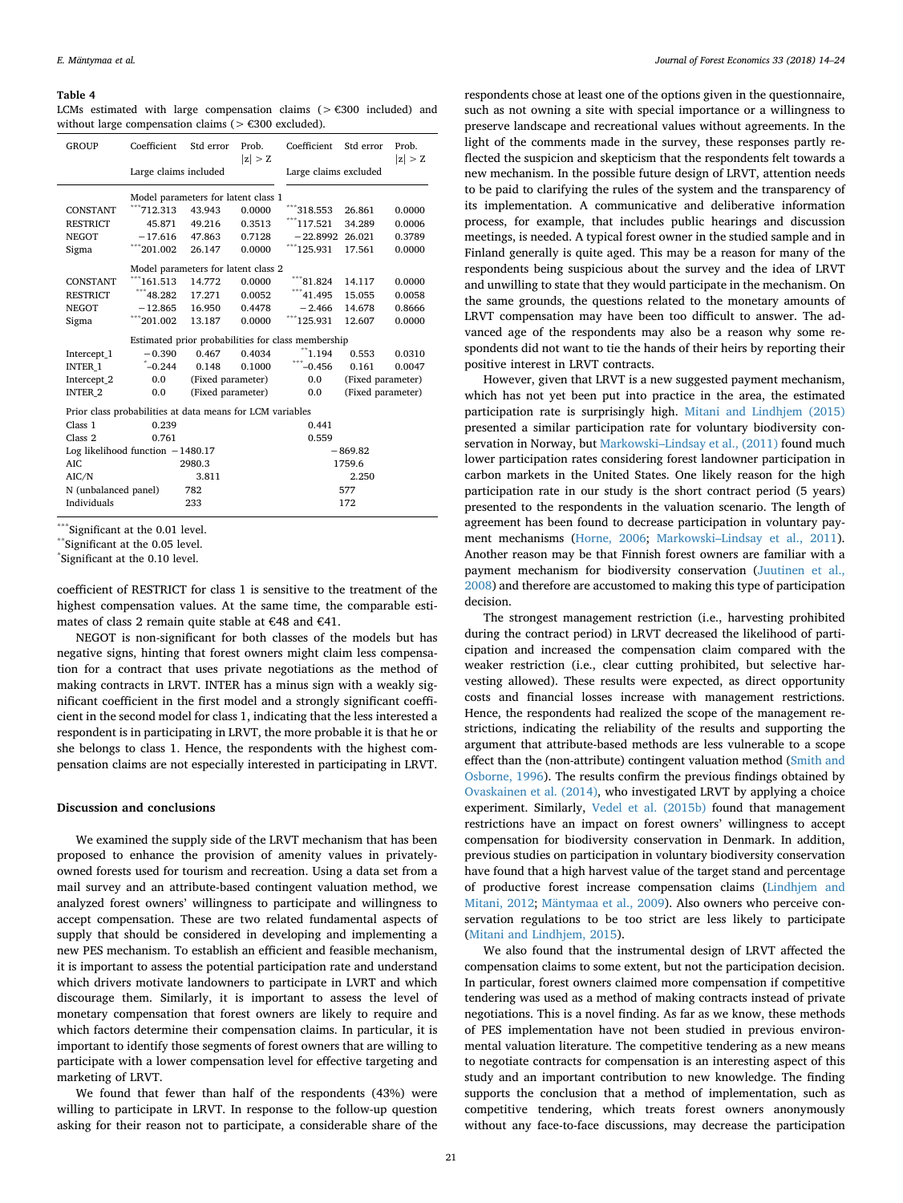#### <span id="page-7-0"></span>**Table 4**

LCMs estimated with large compensation claims  $(>\epsilon 300$  included) and without large compensation claims ( $> \text{\textsterling}300$  excluded).

| <b>GROUP</b>                                       | Coefficient                                               | Std error         | Prob.<br> z  > Z | Coefficient              | Std error         | Prob.<br> z  > Z |
|----------------------------------------------------|-----------------------------------------------------------|-------------------|------------------|--------------------------|-------------------|------------------|
|                                                    | Large claims included                                     |                   |                  | Large claims excluded    |                   |                  |
|                                                    | Model parameters for latent class 1                       |                   |                  |                          |                   |                  |
| <b>CONSTANT</b>                                    | $***$ 712.313                                             | 43.943            | 0.0000           | $^{\ast\ast\ast}318.553$ | 26.861            | 0.0000           |
| <b>RESTRICT</b>                                    | 45.871                                                    | 49.216            | 0.3513           | 117.521                  | 34.289            | 0.0006           |
| <b>NEGOT</b>                                       | $-17.616$                                                 | 47.863            | 0.7128           | $-22.8992$               | 26.021            | 0.3789           |
| Sigma                                              | $^{\ast\ast\ast}201.002$                                  | 26.147            | 0.0000           | 125.931                  | 17.561            | 0.0000           |
|                                                    | Model parameters for latent class 2                       |                   |                  |                          |                   |                  |
| <b>CONSTANT</b>                                    | 161.513                                                   | 14.772            | 0.0000           | $^{***}81.824$           | 14.117            | 0.0000           |
| <b>RESTRICT</b>                                    | $***48.282$                                               | 17.271            | 0.0052           | 11.495                   | 15.055            | 0.0058           |
| <b>NEGOT</b>                                       | $-12.865$                                                 | 16.950            | 0.4478           | $-2.466$                 | 14.678            | 0.8666           |
| Sigma                                              | $\sqrt[34pt] 201.002$                                     | 13.187            | 0.0000           | 125.931                  | 12.607            | 0.0000           |
| Estimated prior probabilities for class membership |                                                           |                   |                  |                          |                   |                  |
| Intercept_1                                        | $-0.390$                                                  | 0.467             | 0.4034           | $*1.194$                 | 0.553             | 0.0310           |
| <b>INTER 1</b>                                     | $-0.244$                                                  | 0.148             | 0.1000           | ***<br>$-0.456$          | 0.161             | 0.0047           |
| Intercept 2                                        | 0.0                                                       | (Fixed parameter) |                  | 0.0                      | (Fixed parameter) |                  |
| <b>INTER 2</b>                                     | 0.0                                                       | (Fixed parameter) |                  | 0.0                      | (Fixed parameter) |                  |
|                                                    | Prior class probabilities at data means for LCM variables |                   |                  |                          |                   |                  |
| Class 1                                            | 0.239                                                     |                   |                  | 0.441                    |                   |                  |
| Class 2                                            | 0.761                                                     |                   |                  | 0.559                    |                   |                  |
| Log likelihood function $-1480.17$                 |                                                           |                   | $-869.82$        |                          |                   |                  |
| AIC.<br>2980.3                                     |                                                           |                   | 1759.6           |                          |                   |                  |
| AIC/N                                              |                                                           | 3.811             |                  |                          | 2.250             |                  |
| N (unbalanced panel)                               |                                                           | 782               |                  |                          | 577               |                  |
| Individuals                                        |                                                           | 233               |                  |                          | 172               |                  |

\*\*\*Significant at the 0.01 level.

\*\*Significant at the 0.05 level.

\* Significant at the 0.10 level.

coefficient of RESTRICT for class 1 is sensitive to the treatment of the highest compensation values. At the same time, the comparable estimates of class 2 remain quite stable at €48 and €41.

NEGOT is non-significant for both classes of the models but has negative signs, hinting that forest owners might claim less compensation for a contract that uses private negotiations as the method of making contracts in LRVT. INTER has a minus sign with a weakly significant coefficient in the first model and a strongly significant coefficient in the second model for class 1, indicating that the less interested a respondent is in participating in LRVT, the more probable it is that he or she belongs to class 1. Hence, the respondents with the highest compensation claims are not especially interested in participating in LRVT.

## **Discussion and conclusions**

We examined the supply side of the LRVT mechanism that has been proposed to enhance the provision of amenity values in privatelyowned forests used for tourism and recreation. Using a data set from a mail survey and an attribute-based contingent valuation method, we analyzed forest owners' willingness to participate and willingness to accept compensation. These are two related fundamental aspects of supply that should be considered in developing and implementing a new PES mechanism. To establish an efficient and feasible mechanism, it is important to assess the potential participation rate and understand which drivers motivate landowners to participate in LVRT and which discourage them. Similarly, it is important to assess the level of monetary compensation that forest owners are likely to require and which factors determine their compensation claims. In particular, it is important to identify those segments of forest owners that are willing to participate with a lower compensation level for effective targeting and marketing of LRVT.

We found that fewer than half of the respondents (43%) were willing to participate in LRVT. In response to the follow-up question asking for their reason not to participate, a considerable share of the respondents chose at least one of the options given in the questionnaire, such as not owning a site with special importance or a willingness to preserve landscape and recreational values without agreements. In the light of the comments made in the survey, these responses partly reflected the suspicion and skepticism that the respondents felt towards a new mechanism. In the possible future design of LRVT, attention needs to be paid to clarifying the rules of the system and the transparency of its implementation. A communicative and deliberative information process, for example, that includes public hearings and discussion meetings, is needed. A typical forest owner in the studied sample and in Finland generally is quite aged. This may be a reason for many of the respondents being suspicious about the survey and the idea of LRVT and unwilling to state that they would participate in the mechanism. On the same grounds, the questions related to the monetary amounts of LRVT compensation may have been too difficult to answer. The advanced age of the respondents may also be a reason why some respondents did not want to tie the hands of their heirs by reporting their positive interest in LRVT contracts.

However, given that LRVT is a new suggested payment mechanism, which has not yet been put into practice in the area, the estimated participation rate is surprisingly high. [Mitani and Lindhjem \(2015\)](#page-9-34) presented a similar participation rate for voluntary biodiversity conservation in Norway, but [Markowski–Lindsay et al., \(2011\)](#page-9-49) found much lower participation rates considering forest landowner participation in carbon markets in the United States. One likely reason for the high participation rate in our study is the short contract period (5 years) presented to the respondents in the valuation scenario. The length of agreement has been found to decrease participation in voluntary payment mechanisms ([Horne, 2006](#page-9-28); [Markowski–Lindsay et al., 2011](#page-9-49)). Another reason may be that Finnish forest owners are familiar with a payment mechanism for biodiversity conservation ([Juutinen et al.,](#page-9-50) [2008\)](#page-9-50) and therefore are accustomed to making this type of participation decision.

The strongest management restriction (i.e., harvesting prohibited during the contract period) in LRVT decreased the likelihood of participation and increased the compensation claim compared with the weaker restriction (i.e., clear cutting prohibited, but selective harvesting allowed). These results were expected, as direct opportunity costs and financial losses increase with management restrictions. Hence, the respondents had realized the scope of the management restrictions, indicating the reliability of the results and supporting the argument that attribute-based methods are less vulnerable to a scope effect than the (non-attribute) contingent valuation method ([Smith and](#page-10-19) [Osborne, 1996\)](#page-10-19). The results confirm the previous findings obtained by [Ovaskainen et al. \(2014\)](#page-9-30), who investigated LRVT by applying a choice experiment. Similarly, [Vedel et al. \(2015b\)](#page-10-13) found that management restrictions have an impact on forest owners' willingness to accept compensation for biodiversity conservation in Denmark. In addition, previous studies on participation in voluntary biodiversity conservation have found that a high harvest value of the target stand and percentage of productive forest increase compensation claims [\(Lindhjem and](#page-9-29) [Mitani, 2012;](#page-9-29) [Mäntymaa et al., 2009](#page-9-21)). Also owners who perceive conservation regulations to be too strict are less likely to participate ([Mitani and Lindhjem, 2015](#page-9-34)).

We also found that the instrumental design of LRVT affected the compensation claims to some extent, but not the participation decision. In particular, forest owners claimed more compensation if competitive tendering was used as a method of making contracts instead of private negotiations. This is a novel finding. As far as we know, these methods of PES implementation have not been studied in previous environmental valuation literature. The competitive tendering as a new means to negotiate contracts for compensation is an interesting aspect of this study and an important contribution to new knowledge. The finding supports the conclusion that a method of implementation, such as competitive tendering, which treats forest owners anonymously without any face-to-face discussions, may decrease the participation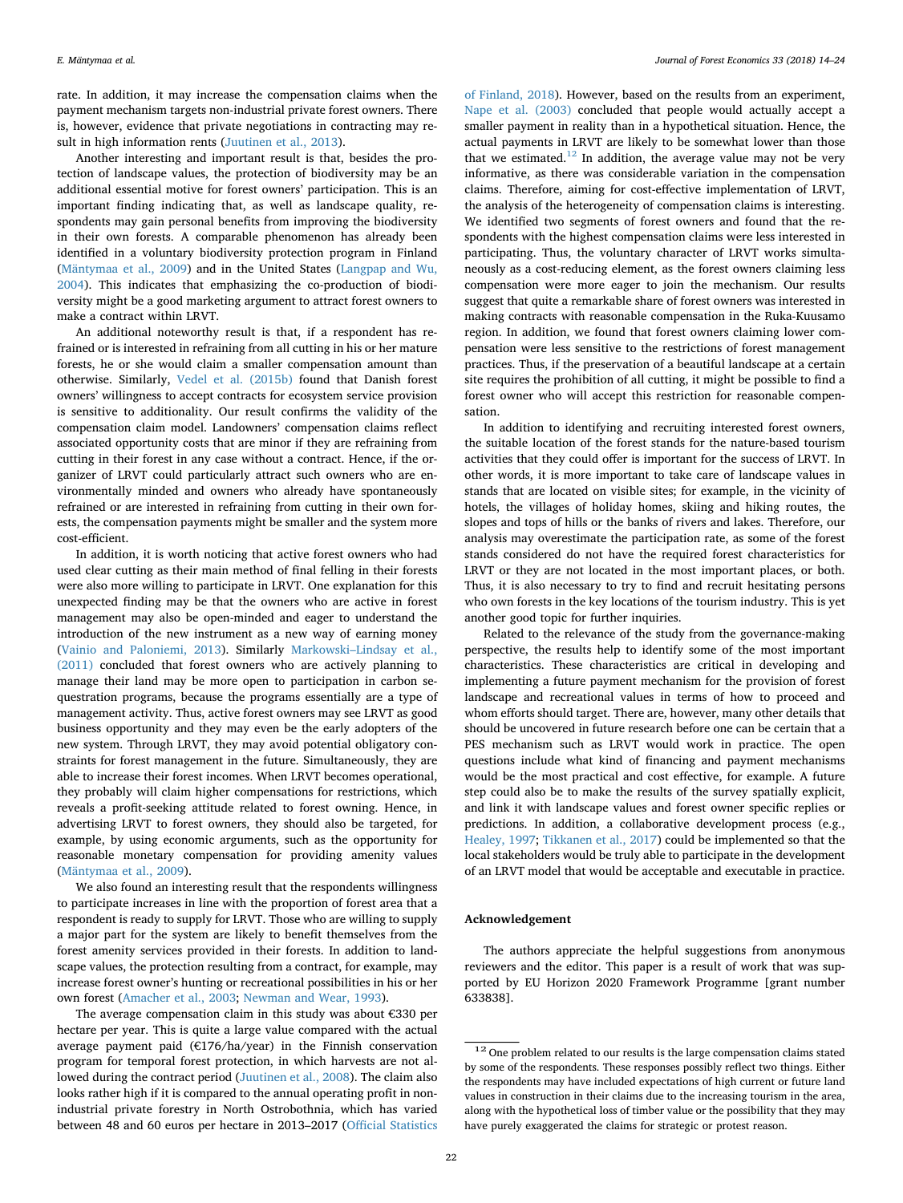rate. In addition, it may increase the compensation claims when the payment mechanism targets non-industrial private forest owners. There is, however, evidence that private negotiations in contracting may result in high information rents ([Juutinen et al., 2013](#page-9-43)).

Another interesting and important result is that, besides the protection of landscape values, the protection of biodiversity may be an additional essential motive for forest owners' participation. This is an important finding indicating that, as well as landscape quality, respondents may gain personal benefits from improving the biodiversity in their own forests. A comparable phenomenon has already been identified in a voluntary biodiversity protection program in Finland ([Mäntymaa et al., 2009](#page-9-21)) and in the United States ([Langpap and Wu,](#page-9-32) [2004\)](#page-9-32). This indicates that emphasizing the co-production of biodiversity might be a good marketing argument to attract forest owners to make a contract within LRVT.

An additional noteworthy result is that, if a respondent has refrained or is interested in refraining from all cutting in his or her mature forests, he or she would claim a smaller compensation amount than otherwise. Similarly, [Vedel et al. \(2015b\)](#page-10-13) found that Danish forest owners' willingness to accept contracts for ecosystem service provision is sensitive to additionality. Our result confirms the validity of the compensation claim model. Landowners' compensation claims reflect associated opportunity costs that are minor if they are refraining from cutting in their forest in any case without a contract. Hence, if the organizer of LRVT could particularly attract such owners who are environmentally minded and owners who already have spontaneously refrained or are interested in refraining from cutting in their own forests, the compensation payments might be smaller and the system more cost-efficient.

In addition, it is worth noticing that active forest owners who had used clear cutting as their main method of final felling in their forests were also more willing to participate in LRVT. One explanation for this unexpected finding may be that the owners who are active in forest management may also be open-minded and eager to understand the introduction of the new instrument as a new way of earning money ([Vainio and Paloniemi, 2013\)](#page-10-20). Similarly [Markowski–Lindsay et al.,](#page-9-49) [\(2011\)](#page-9-49) concluded that forest owners who are actively planning to manage their land may be more open to participation in carbon sequestration programs, because the programs essentially are a type of management activity. Thus, active forest owners may see LRVT as good business opportunity and they may even be the early adopters of the new system. Through LRVT, they may avoid potential obligatory constraints for forest management in the future. Simultaneously, they are able to increase their forest incomes. When LRVT becomes operational, they probably will claim higher compensations for restrictions, which reveals a profit-seeking attitude related to forest owning. Hence, in advertising LRVT to forest owners, they should also be targeted, for example, by using economic arguments, such as the opportunity for reasonable monetary compensation for providing amenity values ([Mäntymaa et al., 2009](#page-9-21)).

We also found an interesting result that the respondents willingness to participate increases in line with the proportion of forest area that a respondent is ready to supply for LRVT. Those who are willing to supply a major part for the system are likely to benefit themselves from the forest amenity services provided in their forests. In addition to landscape values, the protection resulting from a contract, for example, may increase forest owner's hunting or recreational possibilities in his or her own forest ([Amacher et al., 2003;](#page-9-51) [Newman and Wear, 1993\)](#page-9-52).

The average compensation claim in this study was about €330 per hectare per year. This is quite a large value compared with the actual average payment paid (€176/ha/year) in the Finnish conservation program for temporal forest protection, in which harvests are not allowed during the contract period [\(Juutinen et al., 2008\)](#page-9-50). The claim also looks rather high if it is compared to the annual operating profit in nonindustrial private forestry in North Ostrobothnia, which has varied between 48 and 60 euros per hectare in 2013–2017 ([Official Statistics](#page-9-53)

[of Finland, 2018\)](#page-9-53). However, based on the results from an experiment, [Nape et al. \(2003\)](#page-9-54) concluded that people would actually accept a smaller payment in reality than in a hypothetical situation. Hence, the actual payments in LRVT are likely to be somewhat lower than those that we estimated.<sup>[12](#page-8-0)</sup> In addition, the average value may not be very informative, as there was considerable variation in the compensation claims. Therefore, aiming for cost-effective implementation of LRVT, the analysis of the heterogeneity of compensation claims is interesting. We identified two segments of forest owners and found that the respondents with the highest compensation claims were less interested in participating. Thus, the voluntary character of LRVT works simultaneously as a cost-reducing element, as the forest owners claiming less compensation were more eager to join the mechanism. Our results suggest that quite a remarkable share of forest owners was interested in making contracts with reasonable compensation in the Ruka-Kuusamo region. In addition, we found that forest owners claiming lower compensation were less sensitive to the restrictions of forest management practices. Thus, if the preservation of a beautiful landscape at a certain site requires the prohibition of all cutting, it might be possible to find a forest owner who will accept this restriction for reasonable compensation.

In addition to identifying and recruiting interested forest owners, the suitable location of the forest stands for the nature-based tourism activities that they could offer is important for the success of LRVT. In other words, it is more important to take care of landscape values in stands that are located on visible sites; for example, in the vicinity of hotels, the villages of holiday homes, skiing and hiking routes, the slopes and tops of hills or the banks of rivers and lakes. Therefore, our analysis may overestimate the participation rate, as some of the forest stands considered do not have the required forest characteristics for LRVT or they are not located in the most important places, or both. Thus, it is also necessary to try to find and recruit hesitating persons who own forests in the key locations of the tourism industry. This is yet another good topic for further inquiries.

Related to the relevance of the study from the governance-making perspective, the results help to identify some of the most important characteristics. These characteristics are critical in developing and implementing a future payment mechanism for the provision of forest landscape and recreational values in terms of how to proceed and whom efforts should target. There are, however, many other details that should be uncovered in future research before one can be certain that a PES mechanism such as LRVT would work in practice. The open questions include what kind of financing and payment mechanisms would be the most practical and cost effective, for example. A future step could also be to make the results of the survey spatially explicit, and link it with landscape values and forest owner specific replies or predictions. In addition, a collaborative development process (e.g., [Healey, 1997;](#page-9-55) [Tikkanen et al., 2017\)](#page-10-8) could be implemented so that the local stakeholders would be truly able to participate in the development of an LRVT model that would be acceptable and executable in practice.

## **Acknowledgement**

The authors appreciate the helpful suggestions from anonymous reviewers and the editor. This paper is a result of work that was supported by EU Horizon 2020 Framework Programme [grant number 633838].

<span id="page-8-0"></span> $12$  One problem related to our results is the large compensation claims stated by some of the respondents. These responses possibly reflect two things. Either the respondents may have included expectations of high current or future land values in construction in their claims due to the increasing tourism in the area, along with the hypothetical loss of timber value or the possibility that they may have purely exaggerated the claims for strategic or protest reason.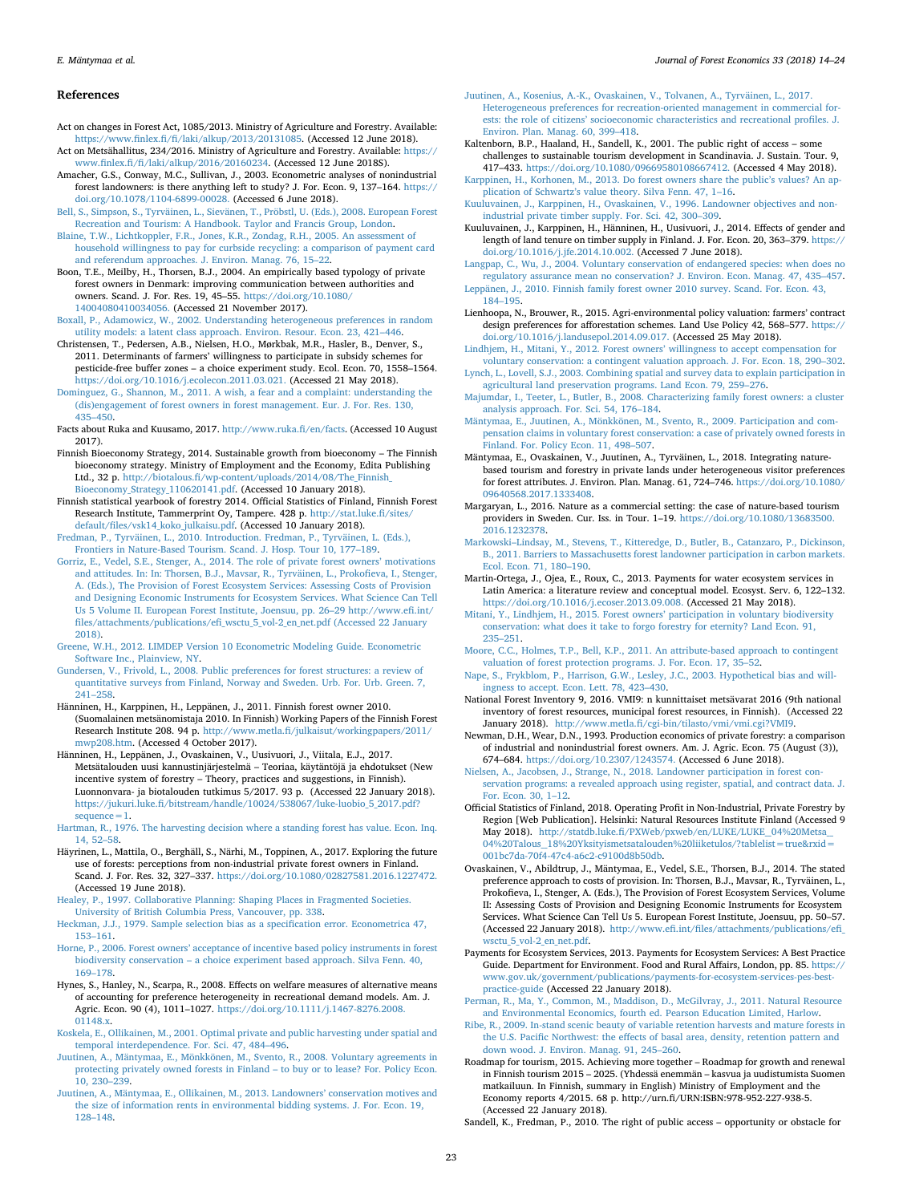#### **References**

- <span id="page-9-10"></span>Act on changes in Forest Act, 1085/2013. Ministry of Agriculture and Forestry. Available: <https://www.finlex.fi/fi/laki/alkup/2013/20131085>. (Accessed 12 June 2018).
- <span id="page-9-9"></span>Act on Metsähallitus, 234/2016. Ministry of Agriculture and Forestry. Available: [https://](https://www.finlex.fi/fi/laki/alkup/2016/20160234) [www.finlex.fi/fi/laki/alkup/2016/20160234.](https://www.finlex.fi/fi/laki/alkup/2016/20160234) (Accessed 12 June 2018S).
- <span id="page-9-51"></span>Amacher, G.S., Conway, M.C., Sullivan, J., 2003. Econometric analyses of nonindustrial forest landowners: is there anything left to study? J. For. Econ. 9, 137–164. [https://](https://doi.org/10.1078/1104-6899-00028) [doi.org/10.1078/1104-6899-00028.](https://doi.org/10.1078/1104-6899-00028) (Accessed 6 June 2018).
- <span id="page-9-2"></span>[Bell, S., Simpson, S., Tyrväinen, L., Sievänen, T., Pröbstl, U. \(Eds.\), 2008. European Forest](http://refhub.elsevier.com/S1104-6899(18)30008-4/sbref0020) [Recreation and Tourism: A Handbook. Taylor and Francis Group, London](http://refhub.elsevier.com/S1104-6899(18)30008-4/sbref0020).
- <span id="page-9-47"></span>[Blaine, T.W., Lichtkoppler, F.R., Jones, K.R., Zondag, R.H., 2005. An assessment of](http://refhub.elsevier.com/S1104-6899(18)30008-4/sbref0025) [household willingness to pay for curbside recycling: a comparison of payment card](http://refhub.elsevier.com/S1104-6899(18)30008-4/sbref0025) [and referendum approaches. J. Environ. Manag. 76, 15–22](http://refhub.elsevier.com/S1104-6899(18)30008-4/sbref0025).
- <span id="page-9-15"></span>Boon, T.E., Meilby, H., Thorsen, B.J., 2004. An empirically based typology of private forest owners in Denmark: improving communication between authorities and owners. Scand. J. For. Res. 19, 45–55. [https://doi.org/10.1080/](https://doi.org/10.1080/14004080410034056) 14004080410034056. [\(Accessed 21 November 2017\)](https://doi.org/10.1080/14004080410034056).
- <span id="page-9-36"></span>[Boxall, P., Adamowicz, W., 2002. Understanding heterogeneous preferences in random](http://refhub.elsevier.com/S1104-6899(18)30008-4/sbref0035) [utility models: a latent class approach. Environ. Resour. Econ. 23, 421–446.](http://refhub.elsevier.com/S1104-6899(18)30008-4/sbref0035)

<span id="page-9-25"></span>Christensen, T., Pedersen, A.B., Nielsen, H.O., Mørkbak, M.R., Hasler, B., Denver, S., 2011. Determinants of farmers' willingness to participate in subsidy schemes for pesticide-free buffer zones – a choice experiment study. Ecol. Econ. 70, 1558–1564. [https://doi.org/10.1016/j.ecolecon.2011.03.021.](https://doi.org/10.1016/j.ecolecon.2011.03.021) (Accessed 21 May 2018).

- <span id="page-9-19"></span>[Dominguez, G., Shannon, M., 2011. A wish, a fear and a complaint: understanding the](http://refhub.elsevier.com/S1104-6899(18)30008-4/sbref0045) [\(dis\)engagement of forest owners in forest management. Eur. J. For. Res. 130,](http://refhub.elsevier.com/S1104-6899(18)30008-4/sbref0045) [435–450](http://refhub.elsevier.com/S1104-6899(18)30008-4/sbref0045).
- <span id="page-9-39"></span>Facts about Ruka and Kuusamo, 2017. [http://www.ruka.fi/en/facts.](http://www.ruka.fi/en/facts) (Accessed 10 August 2017).
- <span id="page-9-0"></span>Finnish Bioeconomy Strategy, 2014. Sustainable growth from bioeconomy – The Finnish bioeconomy strategy. Ministry of Employment and the Economy, Edita Publishing Ltd., 32 p. [http://biotalous.fi/wp-content/uploads/2014/08/The\\_Finnish\\_](http://biotalous.fi/wp-content/uploads/2014/08/The_Finnish_Bioeconomy_Strategy_110620141.pdf) [Bioeconomy\\_Strategy\\_110620141.pdf](http://biotalous.fi/wp-content/uploads/2014/08/The_Finnish_Bioeconomy_Strategy_110620141.pdf). (Accessed 10 January 2018).

<span id="page-9-22"></span>Finnish statistical yearbook of forestry 2014. Official Statistics of Finland, Finnish Forest Research Institute, Tammerprint Oy, Tampere. 428 p. [http://stat.luke.fi/sites/](http://stat.luke.fi/sites/default/files/vsk14_koko_julkaisu.pdf) [default/files/vsk14\\_koko\\_julkaisu.pdf.](http://stat.luke.fi/sites/default/files/vsk14_koko_julkaisu.pdf) (Accessed 10 January 2018).

- <span id="page-9-3"></span>[Fredman, P., Tyrväinen, L., 2010. Introduction. Fredman, P., Tyrväinen, L. \(Eds.\),](http://refhub.elsevier.com/S1104-6899(18)30008-4/sbref0065) [Frontiers in Nature-Based Tourism. Scand. J. Hosp. Tour 10, 177–189.](http://refhub.elsevier.com/S1104-6899(18)30008-4/sbref0065)
- <span id="page-9-14"></span>[Gorriz, E., Vedel, S.E., Stenger, A., 2014. The role of private forest owners' motivations](http://refhub.elsevier.com/S1104-6899(18)30008-4/sbref0070) [and attitudes. In: In: Thorsen, B.J., Mavsar, R., Tyrväinen, L., Prokofieva, I., Stenger,](http://refhub.elsevier.com/S1104-6899(18)30008-4/sbref0070) [A. \(Eds.\), The Provision of Forest Ecosystem Services: Assessing Costs of Provision](http://refhub.elsevier.com/S1104-6899(18)30008-4/sbref0070) [and Designing Economic Instruments for Ecosystem Services. What Science Can Tell](http://refhub.elsevier.com/S1104-6899(18)30008-4/sbref0070) [Us 5 Volume II. European Forest Institute, Joensuu, pp. 26–29 http://www.efi.int/](http://refhub.elsevier.com/S1104-6899(18)30008-4/sbref0070) [files/attachments/publications/efi\\_wsctu\\_5\\_vol-2\\_en\\_net.pdf \(Accessed 22 January](http://refhub.elsevier.com/S1104-6899(18)30008-4/sbref0070) [2018\)](http://refhub.elsevier.com/S1104-6899(18)30008-4/sbref0070).
- <span id="page-9-42"></span>[Greene, W.H., 2012. LIMDEP Version 10 Econometric Modeling Guide. Econometric](http://refhub.elsevier.com/S1104-6899(18)30008-4/sbref0075) [Software Inc., Plainview, NY](http://refhub.elsevier.com/S1104-6899(18)30008-4/sbref0075).

<span id="page-9-7"></span>[Gundersen, V., Frivold, L., 2008. Public preferences for forest structures: a review of](http://refhub.elsevier.com/S1104-6899(18)30008-4/sbref0080) [quantitative surveys from Finland, Norway and Sweden. Urb. For. Urb. Green. 7,](http://refhub.elsevier.com/S1104-6899(18)30008-4/sbref0080) [241–258](http://refhub.elsevier.com/S1104-6899(18)30008-4/sbref0080).

<span id="page-9-23"></span>Hänninen, H., Karppinen, H., Leppänen, J., 2011. Finnish forest owner 2010. (Suomalainen metsänomistaja 2010. In Finnish) Working Papers of the Finnish Forest Research Institute 208. 94 p. [http://www.metla.fi/julkaisut/workingpapers/2011/](http://www.metla.fi/julkaisut/workingpapers/2011/mwp208.htm)  $\,$ [mwp208.htm](http://www.metla.fi/julkaisut/workingpapers/2011/mwp208.htm). (Accessed 4 October 2017).

- <span id="page-9-12"></span>Hänninen, H., Leppänen, J., Ovaskainen, V., Uusivuori, J., Viitala, E.J., 2017. Metsätalouden uusi kannustinjärjestelmä – Teoriaa, käytäntöjä ja ehdotukset (New incentive system of forestry – Theory, practices and suggestions, in Finnish). Luonnonvara- ja biotalouden tutkimus 5/2017. 93 p. (Accessed 22 January 2018). [https://jukuri.luke.fi/bitstream/handle/10024/538067/luke-luobio\\_5\\_2017.pdf?](https://jukuri.luke.fi/bitstream/handle/10024/538067/luke-luobio_5_2017.pdf?sequence=1)  $sequence=1.$  $sequence=1.$
- <span id="page-9-44"></span>[Hartman, R., 1976. The harvesting decision where a standing forest has value. Econ. Inq.](http://refhub.elsevier.com/S1104-6899(18)30008-4/sbref0095) [14, 52–58](http://refhub.elsevier.com/S1104-6899(18)30008-4/sbref0095).
- <span id="page-9-24"></span>Häyrinen, L., Mattila, O., Berghäll, S., Närhi, M., Toppinen, A., 2017. Exploring the future use of forests: perceptions from non-industrial private forest owners in Finland. Scand. J. For. Res. 32, 327–337. [https://doi.org/10.1080/02827581.2016.1227472.](https://doi.org/10.1080/02827581.2016.1227472) [\(Accessed 19 June 2018\).](https://doi.org/10.1080/02827581.2016.1227472)
- <span id="page-9-55"></span>[Healey, P., 1997. Collaborative Planning: Shaping Places in Fragmented Societies.](http://refhub.elsevier.com/S1104-6899(18)30008-4/sbref0105) [University of British Columbia Press, Vancouver, pp. 338.](http://refhub.elsevier.com/S1104-6899(18)30008-4/sbref0105)
- <span id="page-9-40"></span>[Heckman, J.J., 1979. Sample selection bias as a specification error. Econometrica 47,](http://refhub.elsevier.com/S1104-6899(18)30008-4/sbref0110) [153–161](http://refhub.elsevier.com/S1104-6899(18)30008-4/sbref0110).
- <span id="page-9-28"></span>[Horne, P., 2006. Forest owners' acceptance of incentive based policy instruments in forest](http://refhub.elsevier.com/S1104-6899(18)30008-4/sbref0115) [biodiversity conservation – a choice experiment based approach. Silva Fenn. 40,](http://refhub.elsevier.com/S1104-6899(18)30008-4/sbref0115) [169–178](http://refhub.elsevier.com/S1104-6899(18)30008-4/sbref0115).
- <span id="page-9-37"></span>Hynes, S., Hanley, N., Scarpa, R., 2008. Effects on welfare measures of alternative means of accounting for preference heterogeneity in recreational demand models. Am. J. Agric. Econ. 90 (4), 1011–1027. [https://doi.org/10.1111/j.1467-8276.2008.](https://doi.org/10.1111/j.1467-8276.2008.01148.x) 01148.x
- <span id="page-9-45"></span>[Koskela, E., Ollikainen, M., 2001. Optimal private and public harvesting under spatial and](http://refhub.elsevier.com/S1104-6899(18)30008-4/sbref0125) [temporal interdependence. For. Sci. 47, 484–496](http://refhub.elsevier.com/S1104-6899(18)30008-4/sbref0125).
- <span id="page-9-50"></span>[Juutinen, A., Mäntymaa, E., Mönkkönen, M., Svento, R., 2008. Voluntary agreements in](http://refhub.elsevier.com/S1104-6899(18)30008-4/sbref0130) [protecting privately owned forests in Finland – to buy or to lease? For. Policy Econ.](http://refhub.elsevier.com/S1104-6899(18)30008-4/sbref0130) [10, 230–239](http://refhub.elsevier.com/S1104-6899(18)30008-4/sbref0130).
- <span id="page-9-43"></span>[Juutinen, A., Mäntymaa, E., Ollikainen, M., 2013. Landowners' conservation motives and](http://refhub.elsevier.com/S1104-6899(18)30008-4/sbref0135) [the size of information rents in environmental bidding systems. J. For. Econ. 19,](http://refhub.elsevier.com/S1104-6899(18)30008-4/sbref0135) [128–148](http://refhub.elsevier.com/S1104-6899(18)30008-4/sbref0135).

<span id="page-9-41"></span>[Juutinen, A., Kosenius, A.-K., Ovaskainen, V., Tolvanen, A., Tyrväinen, L., 2017.](http://refhub.elsevier.com/S1104-6899(18)30008-4/sbref0140) [Heterogeneous preferences for recreation-oriented management in commercial for](http://refhub.elsevier.com/S1104-6899(18)30008-4/sbref0140)[ests: the role of citizens' socioeconomic characteristics and recreational profiles. J.](http://refhub.elsevier.com/S1104-6899(18)30008-4/sbref0140) [Environ. Plan. Manag. 60, 399–418.](http://refhub.elsevier.com/S1104-6899(18)30008-4/sbref0140)

- <span id="page-9-5"></span>Kaltenborn, B.P., Haaland, H., Sandell, K., 2001. The public right of access – some challenges to sustainable tourism development in Scandinavia. J. Sustain. Tour. 9, 417–433. [https://doi.org/10.1080/09669580108667412.](https://doi.org/10.1080/09669580108667412) (Accessed 4 May 2018).
- <span id="page-9-20"></span>[Karppinen, H., Korhonen, M., 2013. Do forest owners share the public's values? An ap](http://refhub.elsevier.com/S1104-6899(18)30008-4/sbref0150)[plication of Schwartz's value theory. Silva Fenn. 47, 1–16](http://refhub.elsevier.com/S1104-6899(18)30008-4/sbref0150).
- <span id="page-9-16"></span>[Kuuluvainen, J., Karppinen, H., Ovaskainen, V., 1996. Landowner objectives and non](http://refhub.elsevier.com/S1104-6899(18)30008-4/sbref0155)[industrial private timber supply. For. Sci. 42, 300–309](http://refhub.elsevier.com/S1104-6899(18)30008-4/sbref0155).
- <span id="page-9-46"></span>Kuuluvainen, J., Karppinen, H., Hänninen, H., Uusivuori, J., 2014. Effects of gender and length of land tenure on timber supply in Finland. J. For. Econ. 20, 363–379. [https://](https://doi.org/10.1016/j.jfe.2014.10.002) [doi.org/10.1016/j.jfe.2014.10.002.](https://doi.org/10.1016/j.jfe.2014.10.002) (Accessed 7 June 2018).

<span id="page-9-32"></span>[Langpap, C., Wu, J., 2004. Voluntary conservation of endangered species: when does no](http://refhub.elsevier.com/S1104-6899(18)30008-4/sbref0165) [regulatory assurance mean no conservation? J. Environ. Econ. Manag. 47, 435–457.](http://refhub.elsevier.com/S1104-6899(18)30008-4/sbref0165)

- <span id="page-9-18"></span>[Leppänen, J., 2010. Finnish family forest owner 2010 survey. Scand. For. Econ. 43,](http://refhub.elsevier.com/S1104-6899(18)30008-4/sbref0170) [184–195](http://refhub.elsevier.com/S1104-6899(18)30008-4/sbref0170).
- <span id="page-9-26"></span>Lienhoopa, N., Brouwer, R., 2015. Agri-environmental policy valuation: farmers' contract design preferences for afforestation schemes. Land Use Policy 42, 568–577. [https://](https://doi.org/10.1016/j.landusepol.2014.09.017) [doi.org/10.1016/j.landusepol.2014.09.017.](https://doi.org/10.1016/j.landusepol.2014.09.017) (Accessed 25 May 2018).

<span id="page-9-29"></span>[Lindhjem, H., Mitani, Y., 2012. Forest owners' willingness to accept compensation for](http://refhub.elsevier.com/S1104-6899(18)30008-4/sbref0180) [voluntary conservation: a contingent valuation approach. J. For. Econ. 18, 290–302.](http://refhub.elsevier.com/S1104-6899(18)30008-4/sbref0180)

- <span id="page-9-33"></span>[Lynch, L., Lovell, S.J., 2003. Combining spatial and survey data to explain participation in](http://refhub.elsevier.com/S1104-6899(18)30008-4/sbref0185) [agricultural land preservation programs. Land Econ. 79, 259–276](http://refhub.elsevier.com/S1104-6899(18)30008-4/sbref0185).
- <span id="page-9-17"></span>[Majumdar, I., Teeter, L., Butler, B., 2008. Characterizing family forest owners: a cluster](http://refhub.elsevier.com/S1104-6899(18)30008-4/sbref0190) [analysis approach. For. Sci. 54, 176–184](http://refhub.elsevier.com/S1104-6899(18)30008-4/sbref0190).
- <span id="page-9-21"></span>[Mäntymaa, E., Juutinen, A., Mönkkönen, M., Svento, R., 2009. Participation and com](http://refhub.elsevier.com/S1104-6899(18)30008-4/sbref0195)[pensation claims in voluntary forest conservation: a case of privately owned forests in](http://refhub.elsevier.com/S1104-6899(18)30008-4/sbref0195) [Finland. For. Policy Econ. 11, 498–507](http://refhub.elsevier.com/S1104-6899(18)30008-4/sbref0195).
- <span id="page-9-11"></span>Mäntymaa, E., Ovaskainen, V., Juutinen, A., Tyrväinen, L., 2018. Integrating naturebased tourism and forestry in private lands under heterogeneous visitor preferences for forest attributes. J. Environ. Plan. Manag. 61, 724–746. [https://doi.org/10.1080/](https://doi.org/10.1080/09640568.2017.1333408) [09640568.2017.1333408](https://doi.org/10.1080/09640568.2017.1333408).
- <span id="page-9-4"></span>Margaryan, L., 2016. Nature as a commercial setting: the case of nature-based tourism providers in Sweden. Cur. Iss. in Tour. 1–19. [https://doi.org/10.1080/13683500.](https://doi.org/10.1080/13683500.2016.1232378) [2016.1232378.](https://doi.org/10.1080/13683500.2016.1232378)

<span id="page-9-49"></span>[Markowski–Lindsay, M., Stevens, T., Kitteredge, D., Butler, B., Catanzaro, P., Dickinson,](http://refhub.elsevier.com/S1104-6899(18)30008-4/sbref0210) [B., 2011. Barriers to Massachusetts forest landowner participation in carbon markets.](http://refhub.elsevier.com/S1104-6899(18)30008-4/sbref0210) [Ecol. Econ. 71, 180–190](http://refhub.elsevier.com/S1104-6899(18)30008-4/sbref0210).

- <span id="page-9-27"></span>Martin-Ortega, J., Ojea, E., Roux, C., 2013. Payments for water ecosystem services in Latin America: a literature review and conceptual model. Ecosyst. Serv. 6, 122–132.
- <span id="page-9-34"></span>[https://doi.org/10.1016/j.ecoser.2013.09.008.](https://doi.org/10.1016/j.ecoser.2013.09.008) (Accessed 21 May 2018). [Mitani, Y., Lindhjem, H., 2015. Forest owners' participation in voluntary biodiversity](http://refhub.elsevier.com/S1104-6899(18)30008-4/sbref0220) [conservation: what does it take to forgo forestry for eternity? Land Econ. 91,](http://refhub.elsevier.com/S1104-6899(18)30008-4/sbref0220) [235–251](http://refhub.elsevier.com/S1104-6899(18)30008-4/sbref0220).
- <span id="page-9-31"></span>[Moore, C.C., Holmes, T.P., Bell, K.P., 2011. An attribute-based approach to contingent](http://refhub.elsevier.com/S1104-6899(18)30008-4/sbref0225) [valuation of forest protection programs. J. For. Econ. 17, 35–52](http://refhub.elsevier.com/S1104-6899(18)30008-4/sbref0225).
- <span id="page-9-54"></span>[Nape, S., Frykblom, P., Harrison, G.W., Lesley, J.C., 2003. Hypothetical bias and will-](http://refhub.elsevier.com/S1104-6899(18)30008-4/sbref0230)[ingness to accept. Econ. Lett. 78, 423–430](http://refhub.elsevier.com/S1104-6899(18)30008-4/sbref0230).
- <span id="page-9-38"></span>National Forest Inventory 9, 2016. VMI9: n kunnittaiset metsävarat 2016 (9th national inventory of forest resources, municipal forest resources, in Finnish). (Accessed 22 January 2018). [http://www.metla.fi/cgi-bin/tilasto/vmi/vmi.cgi?VMI9.](http://www.metla.fi/cgi-bin/tilasto/vmi/vmi.cgi?VMI9)
- <span id="page-9-52"></span>Newman, D.H., Wear, D.N., 1993. Production economics of private forestry: a comparison of industrial and nonindustrial forest owners. Am. J. Agric. Econ. 75 (August (3)), 674–684. [https://doi.org/10.2307/1243574.](https://doi.org/10.2307/1243574) (Accessed 6 June 2018).

<span id="page-9-35"></span>[Nielsen, A., Jacobsen, J., Strange, N., 2018. Landowner participation in forest con](http://refhub.elsevier.com/S1104-6899(18)30008-4/sbref0245)[servation programs: a revealed approach using register, spatial, and contract data. J.](http://refhub.elsevier.com/S1104-6899(18)30008-4/sbref0245) [For. Econ. 30, 1–12.](http://refhub.elsevier.com/S1104-6899(18)30008-4/sbref0245)

- <span id="page-9-53"></span>Official Statistics of Finland, 2018. Operating Profit in Non-Industrial, Private Forestry by Region [Web Publication]. Helsinki: Natural Resources Institute Finland (Accessed 9 May 2018). http://statdb.luke.fi/PXWeb/pxweb/en/LUKE/LUKE\_04%20Metsa 04%20Talous\_18%20Yksityismetsatalouden%20liiketulos/?tablelist=true&rxid= [001bc7da-70f4-47c4-a6c2-c9100d8b50db.](http://statdb.luke.fi/PXWeb/pxweb/en/LUKE/LUKE__04%20Metsa__04%20Talous__18%20Yksityismetsatalouden%20liiketulos/?tablelist=true%26rxid=001bc7da-70f4-47c4-a6c2-c9100d8b50db)
- <span id="page-9-30"></span>Ovaskainen, V., Abildtrup, J., Mäntymaa, E., Vedel, S.E., Thorsen, B.J., 2014. The stated preference approach to costs of provision. In: Thorsen, B.J., Mavsar, R., Tyrväinen, L., Prokofieva, I., Stenger, A. (Eds.), The Provision of Forest Ecosystem Services, Volume II: Assessing Costs of Provision and Designing Economic Instruments for Ecosystem Services. What Science Can Tell Us 5. European Forest Institute, Joensuu, pp. 50–57. (Accessed 22 January 2018). [http://www.efi.int/files/attachments/publications/efi\\_](http://www.efi.int/files/attachments/publications/efi_wsctu_5_vol-2_en_net.pdf) [wsctu\\_5\\_vol-2\\_en\\_net.pdf](http://www.efi.int/files/attachments/publications/efi_wsctu_5_vol-2_en_net.pdf).
- <span id="page-9-13"></span>Payments for Ecosystem Services, 2013. Payments for Ecosystem Services: A Best Practice Guide. Department for Environment. Food and Rural Affairs, London, pp. 85. [https://](https://www.gov.uk/government/publications/payments-for-ecosystem-services-pes-best-practice-guide) [www.gov.uk/government/publications/payments-for-ecosystem-services-pes-best](https://www.gov.uk/government/publications/payments-for-ecosystem-services-pes-best-practice-guide)[practice-guide](https://www.gov.uk/government/publications/payments-for-ecosystem-services-pes-best-practice-guide) (Accessed 22 January 2018).
- <span id="page-9-48"></span>[Perman, R., Ma, Y., Common, M., Maddison, D., McGilvray, J., 2011. Natural Resource](http://refhub.elsevier.com/S1104-6899(18)30008-4/sbref0265) [and Environmental Economics, fourth ed. Pearson Education Limited, Harlow](http://refhub.elsevier.com/S1104-6899(18)30008-4/sbref0265).
- <span id="page-9-8"></span>[Ribe, R., 2009. In-stand scenic beauty of variable retention harvests and mature forests in](http://refhub.elsevier.com/S1104-6899(18)30008-4/sbref0270) [the U.S. Pacific Northwest: the effects of basal area, density, retention pattern and](http://refhub.elsevier.com/S1104-6899(18)30008-4/sbref0270) [down wood. J. Environ. Manag. 91, 245–260.](http://refhub.elsevier.com/S1104-6899(18)30008-4/sbref0270)
- <span id="page-9-1"></span>Roadmap for tourism, 2015. Achieving more together – Roadmap for growth and renewal in Finnish tourism 2015 – 2025. (Yhdessä enemmän – kasvua ja uudistumista Suomen matkailuun. In Finnish, summary in English) Ministry of Employment and the Economy reports 4/2015. 68 p. http://urn.fi/URN:ISBN:978-952-227-938-5. (Accessed 22 January 2018).

<span id="page-9-6"></span>Sandell, K., Fredman, P., 2010. The right of public access – opportunity or obstacle for